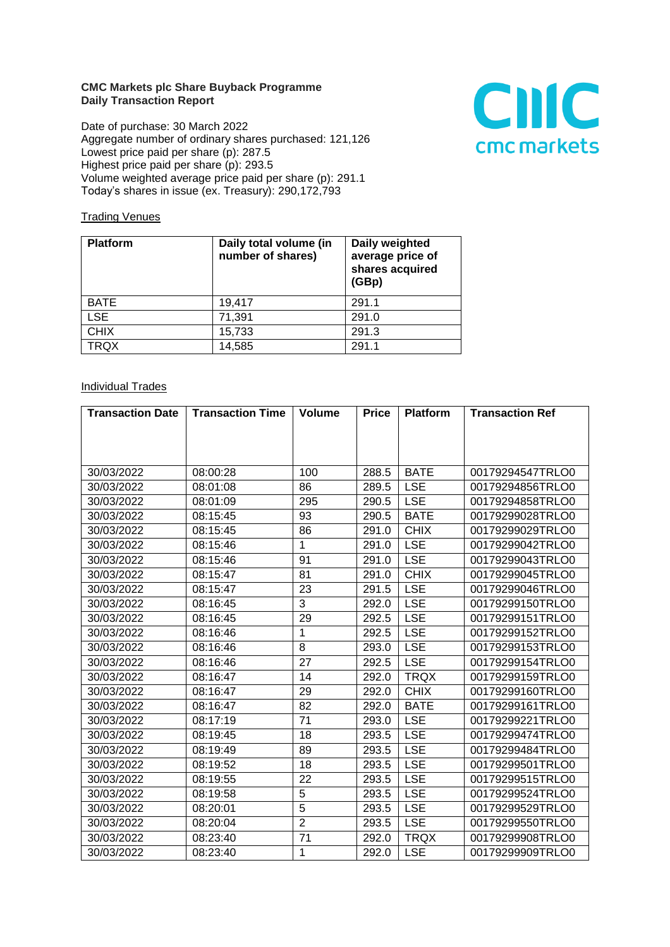## **CMC Markets plc Share Buyback Programme Daily Transaction Report**

Date of purchase: 30 March 2022 Aggregate number of ordinary shares purchased: 121,126 Lowest price paid per share (p): 287.5 Highest price paid per share (p): 293.5 Volume weighted average price paid per share (p): 291.1 Today's shares in issue (ex. Treasury): 290,172,793



## **Trading Venues**

| <b>Platform</b> | Daily total volume (in<br>number of shares) | Daily weighted<br>average price of<br>shares acquired<br>(GBp) |
|-----------------|---------------------------------------------|----------------------------------------------------------------|
| <b>BATE</b>     | 19.417                                      | 291.1                                                          |
| <b>LSE</b>      | 71,391                                      | 291.0                                                          |
| <b>CHIX</b>     | 15,733                                      | 291.3                                                          |
| <b>TRQX</b>     | 14,585                                      | 291.1                                                          |

## **Individual Trades**

| <b>Transaction Date</b> | <b>Transaction Time</b> | <b>Volume</b>  | <b>Price</b> | <b>Platform</b> | <b>Transaction Ref</b> |
|-------------------------|-------------------------|----------------|--------------|-----------------|------------------------|
|                         |                         |                |              |                 |                        |
|                         |                         |                |              |                 |                        |
|                         |                         |                |              |                 |                        |
| 30/03/2022              | 08:00:28                | 100            | 288.5        | <b>BATE</b>     | 00179294547TRLO0       |
| 30/03/2022              | 08:01:08                | 86             | 289.5        | <b>LSE</b>      | 00179294856TRLO0       |
| 30/03/2022              | 08:01:09                | 295            | 290.5        | <b>LSE</b>      | 00179294858TRLO0       |
| 30/03/2022              | 08:15:45                | 93             | 290.5        | <b>BATE</b>     | 00179299028TRLO0       |
| 30/03/2022              | 08:15:45                | 86             | 291.0        | <b>CHIX</b>     | 00179299029TRLO0       |
| 30/03/2022              | 08:15:46                | 1              | 291.0        | <b>LSE</b>      | 00179299042TRLO0       |
| 30/03/2022              | 08:15:46                | 91             | 291.0        | <b>LSE</b>      | 00179299043TRLO0       |
| 30/03/2022              | 08:15:47                | 81             | 291.0        | <b>CHIX</b>     | 00179299045TRLO0       |
| 30/03/2022              | 08:15:47                | 23             | 291.5        | <b>LSE</b>      | 00179299046TRLO0       |
| 30/03/2022              | 08:16:45                | 3              | 292.0        | <b>LSE</b>      | 00179299150TRLO0       |
| 30/03/2022              | 08:16:45                | 29             | 292.5        | <b>LSE</b>      | 00179299151TRLO0       |
| 30/03/2022              | 08:16:46                | $\mathbf{1}$   | 292.5        | <b>LSE</b>      | 00179299152TRLO0       |
| 30/03/2022              | 08:16:46                | 8              | 293.0        | <b>LSE</b>      | 00179299153TRLO0       |
| 30/03/2022              | 08:16:46                | 27             | 292.5        | <b>LSE</b>      | 00179299154TRLO0       |
| 30/03/2022              | 08:16:47                | 14             | 292.0        | <b>TRQX</b>     | 00179299159TRLO0       |
| 30/03/2022              | 08:16:47                | 29             | 292.0        | <b>CHIX</b>     | 00179299160TRLO0       |
| 30/03/2022              | 08:16:47                | 82             | 292.0        | <b>BATE</b>     | 00179299161TRLO0       |
| 30/03/2022              | 08:17:19                | 71             | 293.0        | <b>LSE</b>      | 00179299221TRLO0       |
| 30/03/2022              | 08:19:45                | 18             | 293.5        | <b>LSE</b>      | 00179299474TRLO0       |
| 30/03/2022              | 08:19:49                | 89             | 293.5        | <b>LSE</b>      | 00179299484TRLO0       |
| 30/03/2022              | 08:19:52                | 18             | 293.5        | <b>LSE</b>      | 00179299501TRLO0       |
| 30/03/2022              | 08:19:55                | 22             | 293.5        | <b>LSE</b>      | 00179299515TRLO0       |
| 30/03/2022              | 08:19:58                | $\overline{5}$ | 293.5        | LSE             | 00179299524TRLO0       |
| 30/03/2022              | 08:20:01                | 5              | 293.5        | <b>LSE</b>      | 00179299529TRLO0       |
| 30/03/2022              | 08:20:04                | $\overline{2}$ | 293.5        | <b>LSE</b>      | 00179299550TRLO0       |
| 30/03/2022              | 08:23:40                | 71             | 292.0        | <b>TRQX</b>     | 00179299908TRLO0       |
| 30/03/2022              | 08:23:40                | 1              | 292.0        | <b>LSE</b>      | 00179299909TRLO0       |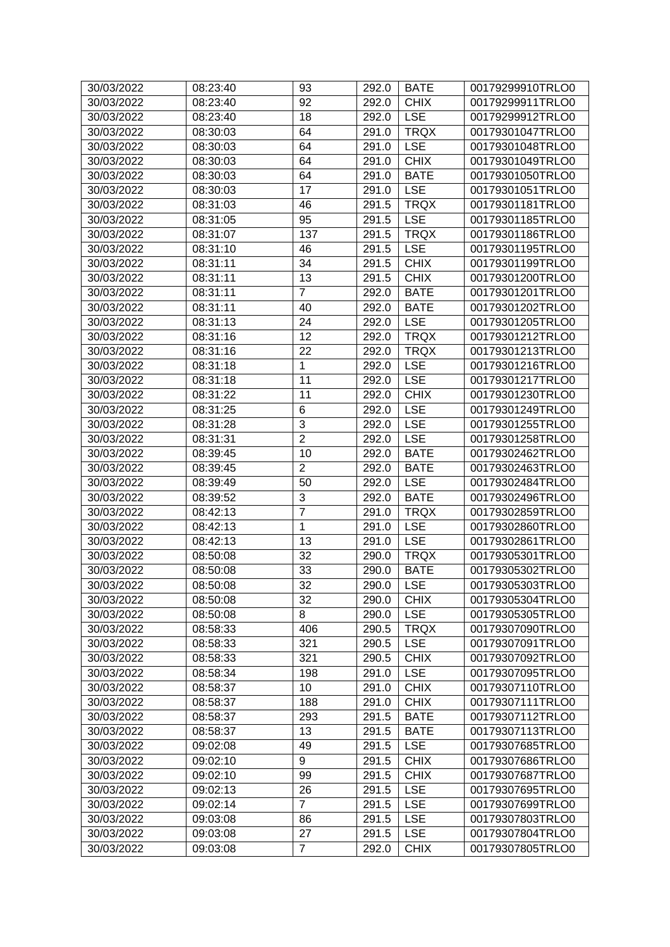| 30/03/2022 | 08:23:40 | 93              | 292.0     | <b>BATE</b> | 00179299910TRLO0 |
|------------|----------|-----------------|-----------|-------------|------------------|
| 30/03/2022 | 08:23:40 | 92              | 292.0     | <b>CHIX</b> | 00179299911TRLO0 |
| 30/03/2022 | 08:23:40 | 18              | 292.0     | <b>LSE</b>  | 00179299912TRLO0 |
| 30/03/2022 | 08:30:03 | 64              | 291.0     | <b>TRQX</b> | 00179301047TRLO0 |
| 30/03/2022 | 08:30:03 | 64              | 291.0     | <b>LSE</b>  | 00179301048TRLO0 |
| 30/03/2022 | 08:30:03 | 64              | 291.0     | <b>CHIX</b> | 00179301049TRLO0 |
| 30/03/2022 | 08:30:03 | 64              | 291.0     | <b>BATE</b> | 00179301050TRLO0 |
| 30/03/2022 | 08:30:03 | 17              | 291.0     | <b>LSE</b>  | 00179301051TRLO0 |
| 30/03/2022 | 08:31:03 | 46              | 291.5     | <b>TRQX</b> | 00179301181TRLO0 |
| 30/03/2022 | 08:31:05 | $\overline{95}$ | 291.5     | <b>LSE</b>  | 00179301185TRLO0 |
| 30/03/2022 | 08:31:07 | 137             | 291.5     | <b>TRQX</b> | 00179301186TRLO0 |
| 30/03/2022 | 08:31:10 | 46              | 291.5     | <b>LSE</b>  | 00179301195TRLO0 |
| 30/03/2022 | 08:31:11 | 34              | 291.5     | <b>CHIX</b> | 00179301199TRLO0 |
| 30/03/2022 | 08:31:11 | 13              | 291.5     | <b>CHIX</b> | 00179301200TRLO0 |
| 30/03/2022 | 08:31:11 | $\overline{7}$  | 292.0     | <b>BATE</b> | 00179301201TRLO0 |
| 30/03/2022 | 08:31:11 | 40              | 292.0     | <b>BATE</b> | 00179301202TRLO0 |
| 30/03/2022 | 08:31:13 | 24              | 292.0     | <b>LSE</b>  | 00179301205TRLO0 |
| 30/03/2022 | 08:31:16 | 12              | 292.0     | <b>TRQX</b> | 00179301212TRLO0 |
| 30/03/2022 | 08:31:16 | 22              | 292.0     | <b>TRQX</b> | 00179301213TRLO0 |
| 30/03/2022 | 08:31:18 | 1               | 292.0     | <b>LSE</b>  | 00179301216TRLO0 |
| 30/03/2022 | 08:31:18 | 11              | 292.0     | <b>LSE</b>  | 00179301217TRLO0 |
| 30/03/2022 | 08:31:22 | 11              | 292.0     | <b>CHIX</b> | 00179301230TRLO0 |
| 30/03/2022 | 08:31:25 | 6               | 292.0     | <b>LSE</b>  | 00179301249TRLO0 |
|            |          | $\sqrt{3}$      |           | <b>LSE</b>  | 00179301255TRLO0 |
| 30/03/2022 | 08:31:28 | $\overline{2}$  | 292.0     | <b>LSE</b>  | 00179301258TRLO0 |
| 30/03/2022 | 08:31:31 |                 | 292.0     | <b>BATE</b> |                  |
| 30/03/2022 | 08:39:45 | 10              | 292.0     |             | 00179302462TRLO0 |
| 30/03/2022 | 08:39:45 | $\overline{2}$  | 292.0     | <b>BATE</b> | 00179302463TRLO0 |
| 30/03/2022 | 08:39:49 | 50              | 292.0     | <b>LSE</b>  | 00179302484TRLO0 |
| 30/03/2022 | 08:39:52 | 3               | 292.0     | <b>BATE</b> | 00179302496TRLO0 |
| 30/03/2022 | 08:42:13 | $\overline{7}$  | 291.0     | <b>TRQX</b> | 00179302859TRLO0 |
| 30/03/2022 | 08:42:13 | 1               | 291.0     | <b>LSE</b>  | 00179302860TRLO0 |
| 30/03/2022 | 08:42:13 | 13              | 291.0     | <b>LSE</b>  | 00179302861TRLO0 |
| 30/03/2022 | 08:50:08 | $\overline{32}$ | 290.0     | <b>TRQX</b> | 00179305301TRLO0 |
| 30/03/2022 | 08:50:08 | 33              | 290.0     | <b>BATE</b> | 00179305302TRLO0 |
| 30/03/2022 | 08:50:08 | $\overline{32}$ | 290.0 LSE |             | 00179305303TRLO0 |
| 30/03/2022 | 08:50:08 | 32              | 290.0     | <b>CHIX</b> | 00179305304TRLO0 |
| 30/03/2022 | 08:50:08 | 8               | 290.0     | <b>LSE</b>  | 00179305305TRLO0 |
| 30/03/2022 | 08:58:33 | 406             | 290.5     | <b>TRQX</b> | 00179307090TRLO0 |
| 30/03/2022 | 08:58:33 | 321             | 290.5     | <b>LSE</b>  | 00179307091TRLO0 |
| 30/03/2022 | 08:58:33 | 321             | 290.5     | <b>CHIX</b> | 00179307092TRLO0 |
| 30/03/2022 | 08:58:34 | 198             | 291.0     | <b>LSE</b>  | 00179307095TRLO0 |
| 30/03/2022 | 08:58:37 | 10              | 291.0     | <b>CHIX</b> | 00179307110TRLO0 |
| 30/03/2022 | 08:58:37 | 188             | 291.0     | <b>CHIX</b> | 00179307111TRLO0 |
| 30/03/2022 | 08:58:37 | 293             | 291.5     | <b>BATE</b> | 00179307112TRLO0 |
| 30/03/2022 | 08:58:37 | 13              | 291.5     | <b>BATE</b> | 00179307113TRLO0 |
| 30/03/2022 | 09:02:08 | 49              | 291.5     | <b>LSE</b>  | 00179307685TRLO0 |
| 30/03/2022 | 09:02:10 | 9               | 291.5     | <b>CHIX</b> | 00179307686TRLO0 |
| 30/03/2022 | 09:02:10 | 99              | 291.5     | <b>CHIX</b> | 00179307687TRLO0 |
| 30/03/2022 | 09:02:13 | 26              | 291.5     | <b>LSE</b>  | 00179307695TRLO0 |
| 30/03/2022 | 09:02:14 | $\overline{7}$  | 291.5     | <b>LSE</b>  | 00179307699TRLO0 |
| 30/03/2022 | 09:03:08 | 86              | 291.5     | <b>LSE</b>  | 00179307803TRLO0 |
| 30/03/2022 | 09:03:08 | 27              | 291.5     | <b>LSE</b>  | 00179307804TRLO0 |
| 30/03/2022 | 09:03:08 | $\overline{7}$  | 292.0     | <b>CHIX</b> | 00179307805TRLO0 |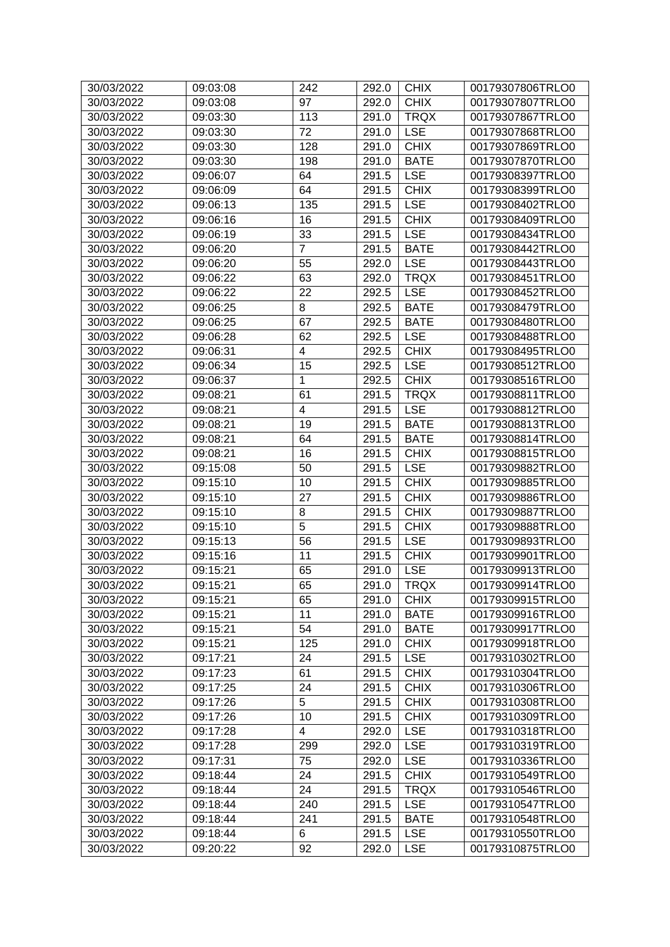| 30/03/2022 | 09:03:08 | 242            | 292.0 | <b>CHIX</b> | 00179307806TRLO0 |
|------------|----------|----------------|-------|-------------|------------------|
| 30/03/2022 | 09:03:08 | 97             | 292.0 | <b>CHIX</b> | 00179307807TRLO0 |
| 30/03/2022 | 09:03:30 | 113            | 291.0 | <b>TRQX</b> | 00179307867TRLO0 |
| 30/03/2022 | 09:03:30 | 72             | 291.0 | <b>LSE</b>  | 00179307868TRLO0 |
| 30/03/2022 | 09:03:30 | 128            | 291.0 | <b>CHIX</b> | 00179307869TRLO0 |
| 30/03/2022 | 09:03:30 | 198            | 291.0 | <b>BATE</b> | 00179307870TRLO0 |
| 30/03/2022 | 09:06:07 | 64             | 291.5 | <b>LSE</b>  | 00179308397TRLO0 |
| 30/03/2022 | 09:06:09 | 64             | 291.5 | <b>CHIX</b> | 00179308399TRLO0 |
| 30/03/2022 | 09:06:13 | 135            | 291.5 | <b>LSE</b>  | 00179308402TRLO0 |
| 30/03/2022 | 09:06:16 | 16             | 291.5 | <b>CHIX</b> | 00179308409TRLO0 |
| 30/03/2022 | 09:06:19 | 33             | 291.5 | <b>LSE</b>  | 00179308434TRLO0 |
| 30/03/2022 | 09:06:20 | $\overline{7}$ | 291.5 | <b>BATE</b> | 00179308442TRLO0 |
| 30/03/2022 | 09:06:20 | 55             | 292.0 | <b>LSE</b>  | 00179308443TRLO0 |
| 30/03/2022 | 09:06:22 | 63             | 292.0 | <b>TRQX</b> | 00179308451TRLO0 |
| 30/03/2022 | 09:06:22 | 22             | 292.5 | <b>LSE</b>  | 00179308452TRLO0 |
| 30/03/2022 | 09:06:25 | 8              | 292.5 | <b>BATE</b> | 00179308479TRLO0 |
| 30/03/2022 | 09:06:25 | 67             | 292.5 | <b>BATE</b> | 00179308480TRLO0 |
| 30/03/2022 | 09:06:28 | 62             | 292.5 | <b>LSE</b>  | 00179308488TRLO0 |
| 30/03/2022 | 09:06:31 | 4              | 292.5 | <b>CHIX</b> | 00179308495TRLO0 |
| 30/03/2022 | 09:06:34 | 15             | 292.5 | <b>LSE</b>  | 00179308512TRLO0 |
| 30/03/2022 | 09:06:37 | 1              | 292.5 | <b>CHIX</b> | 00179308516TRLO0 |
| 30/03/2022 | 09:08:21 | 61             | 291.5 | <b>TRQX</b> | 00179308811TRLO0 |
| 30/03/2022 | 09:08:21 | 4              | 291.5 | <b>LSE</b>  | 00179308812TRLO0 |
| 30/03/2022 | 09:08:21 | 19             | 291.5 | <b>BATE</b> | 00179308813TRLO0 |
| 30/03/2022 | 09:08:21 | 64             | 291.5 | <b>BATE</b> | 00179308814TRLO0 |
| 30/03/2022 | 09:08:21 | 16             | 291.5 | <b>CHIX</b> | 00179308815TRLO0 |
| 30/03/2022 | 09:15:08 | 50             | 291.5 | <b>LSE</b>  | 00179309882TRLO0 |
| 30/03/2022 | 09:15:10 | 10             | 291.5 | <b>CHIX</b> | 00179309885TRLO0 |
| 30/03/2022 | 09:15:10 | 27             | 291.5 | <b>CHIX</b> | 00179309886TRLO0 |
| 30/03/2022 | 09:15:10 | 8              | 291.5 | <b>CHIX</b> | 00179309887TRLO0 |
| 30/03/2022 | 09:15:10 | $\overline{5}$ | 291.5 | <b>CHIX</b> | 00179309888TRLO0 |
| 30/03/2022 | 09:15:13 | 56             | 291.5 | <b>LSE</b>  | 00179309893TRLO0 |
| 30/03/2022 | 09:15:16 | 11             | 291.5 | <b>CHIX</b> | 00179309901TRLO0 |
| 30/03/2022 | 09:15:21 | 65             | 291.0 | <b>LSE</b>  | 00179309913TRLO0 |
| 30/03/2022 | 09:15:21 | 65             | 291.0 | <b>TRQX</b> | 00179309914TRLO0 |
| 30/03/2022 | 09:15:21 | 65             | 291.0 | <b>CHIX</b> | 00179309915TRLO0 |
| 30/03/2022 | 09:15:21 | 11             | 291.0 | <b>BATE</b> | 00179309916TRLO0 |
| 30/03/2022 | 09:15:21 | 54             | 291.0 | <b>BATE</b> | 00179309917TRLO0 |
| 30/03/2022 | 09:15:21 | 125            | 291.0 | <b>CHIX</b> | 00179309918TRLO0 |
| 30/03/2022 | 09:17:21 | 24             | 291.5 | <b>LSE</b>  | 00179310302TRLO0 |
| 30/03/2022 | 09:17:23 | 61             | 291.5 | <b>CHIX</b> | 00179310304TRLO0 |
| 30/03/2022 | 09:17:25 | 24             | 291.5 | <b>CHIX</b> | 00179310306TRLO0 |
| 30/03/2022 | 09:17:26 | 5              | 291.5 | <b>CHIX</b> | 00179310308TRLO0 |
| 30/03/2022 | 09:17:26 | 10             | 291.5 | <b>CHIX</b> | 00179310309TRLO0 |
| 30/03/2022 | 09:17:28 | $\overline{4}$ | 292.0 | <b>LSE</b>  | 00179310318TRLO0 |
| 30/03/2022 | 09:17:28 | 299            | 292.0 | <b>LSE</b>  | 00179310319TRLO0 |
| 30/03/2022 | 09:17:31 | 75             | 292.0 | <b>LSE</b>  | 00179310336TRLO0 |
| 30/03/2022 | 09:18:44 | 24             | 291.5 | <b>CHIX</b> | 00179310549TRLO0 |
| 30/03/2022 | 09:18:44 | 24             | 291.5 | <b>TRQX</b> | 00179310546TRLO0 |
| 30/03/2022 | 09:18:44 | 240            | 291.5 | <b>LSE</b>  | 00179310547TRLO0 |
| 30/03/2022 | 09:18:44 | 241            | 291.5 | <b>BATE</b> | 00179310548TRLO0 |
| 30/03/2022 | 09:18:44 | 6              | 291.5 | <b>LSE</b>  | 00179310550TRLO0 |
| 30/03/2022 | 09:20:22 | 92             | 292.0 | <b>LSE</b>  | 00179310875TRLO0 |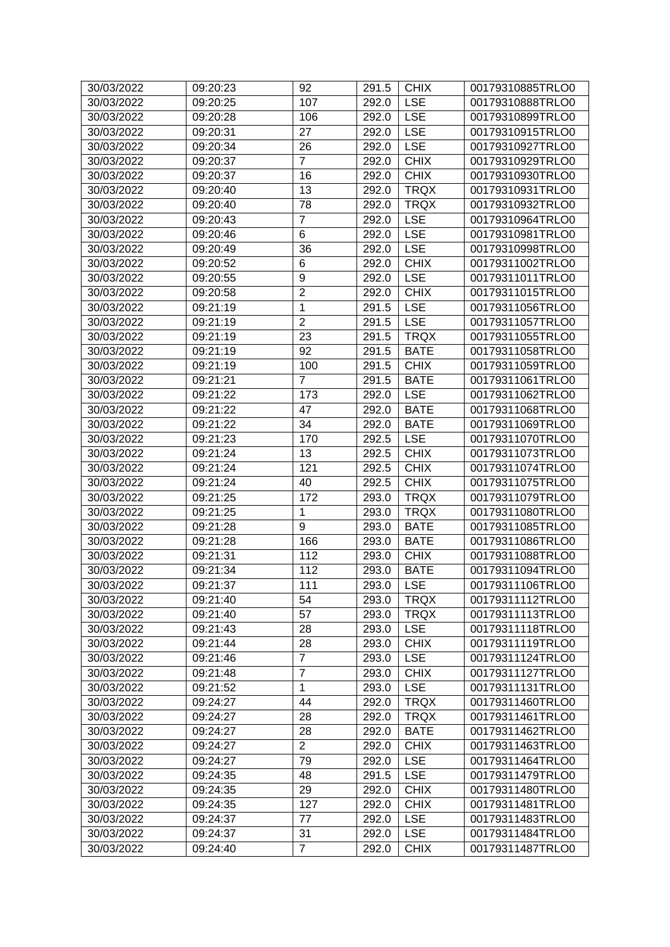| 30/03/2022               | 09:20:23 | 92               | 291.5     | <b>CHIX</b> | 00179310885TRLO0 |
|--------------------------|----------|------------------|-----------|-------------|------------------|
| 30/03/2022               | 09:20:25 | 107              | 292.0     | <b>LSE</b>  | 00179310888TRLO0 |
| 30/03/2022               | 09:20:28 | 106              | 292.0     | <b>LSE</b>  | 00179310899TRLO0 |
| 30/03/2022               | 09:20:31 | 27               | 292.0     | <b>LSE</b>  | 00179310915TRLO0 |
| 30/03/2022               | 09:20:34 | 26               | 292.0     | <b>LSE</b>  | 00179310927TRLO0 |
| 30/03/2022               | 09:20:37 | $\overline{7}$   | 292.0     | <b>CHIX</b> | 00179310929TRLO0 |
| 30/03/2022               | 09:20:37 | 16               | 292.0     | <b>CHIX</b> | 00179310930TRLO0 |
| 30/03/2022               | 09:20:40 | 13               | 292.0     | <b>TRQX</b> | 00179310931TRLO0 |
| 30/03/2022               | 09:20:40 | 78               | 292.0     | <b>TRQX</b> | 00179310932TRLO0 |
| 30/03/2022               | 09:20:43 | $\overline{7}$   | 292.0     | <b>LSE</b>  | 00179310964TRLO0 |
| 30/03/2022               | 09:20:46 | $\,6$            | 292.0     | <b>LSE</b>  | 00179310981TRLO0 |
| 30/03/2022               | 09:20:49 | 36               | 292.0     | <b>LSE</b>  | 00179310998TRLO0 |
| 30/03/2022               | 09:20:52 | 6                | 292.0     | <b>CHIX</b> | 00179311002TRLO0 |
| 30/03/2022               | 09:20:55 | 9                | 292.0     | <b>LSE</b>  | 00179311011TRLO0 |
| 30/03/2022               | 09:20:58 | $\overline{2}$   | 292.0     | <b>CHIX</b> | 00179311015TRLO0 |
| 30/03/2022               | 09:21:19 | 1                | 291.5     | <b>LSE</b>  | 00179311056TRLO0 |
| 30/03/2022               | 09:21:19 | $\overline{2}$   | 291.5     | <b>LSE</b>  | 00179311057TRLO0 |
| 30/03/2022               | 09:21:19 | 23               | 291.5     | <b>TRQX</b> | 00179311055TRLO0 |
| 30/03/2022               | 09:21:19 | 92               | 291.5     | <b>BATE</b> | 00179311058TRLO0 |
| 30/03/2022               | 09:21:19 | 100              | 291.5     | <b>CHIX</b> | 00179311059TRLO0 |
| 30/03/2022               | 09:21:21 | $\overline{7}$   | 291.5     | <b>BATE</b> | 00179311061TRLO0 |
| 30/03/2022               | 09:21:22 | 173              | 292.0     | <b>LSE</b>  | 00179311062TRLO0 |
| 30/03/2022               | 09:21:22 | 47               | 292.0     | <b>BATE</b> | 00179311068TRLO0 |
| 30/03/2022               | 09:21:22 | 34               | 292.0     | <b>BATE</b> | 00179311069TRLO0 |
| 30/03/2022               | 09:21:23 | 170              | 292.5     | <b>LSE</b>  | 00179311070TRLO0 |
| 30/03/2022               | 09:21:24 | 13               | 292.5     | <b>CHIX</b> | 00179311073TRLO0 |
| 30/03/2022               | 09:21:24 | 121              | 292.5     | <b>CHIX</b> | 00179311074TRLO0 |
| 30/03/2022               | 09:21:24 | 40               | 292.5     | <b>CHIX</b> | 00179311075TRLO0 |
| 30/03/2022               | 09:21:25 | 172              | 293.0     | <b>TRQX</b> | 00179311079TRLO0 |
| 30/03/2022               | 09:21:25 | 1                | 293.0     | <b>TRQX</b> | 00179311080TRLO0 |
| 30/03/2022               | 09:21:28 | 9                | 293.0     | <b>BATE</b> | 00179311085TRLO0 |
| 30/03/2022               | 09:21:28 | 166              | 293.0     | <b>BATE</b> | 00179311086TRLO0 |
| 30/03/2022               | 09:21:31 | 112              | 293.0     | <b>CHIX</b> | 00179311088TRLO0 |
| 30/03/2022               | 09:21:34 | 112              | 293.0     | <b>BATE</b> | 00179311094TRLO0 |
| 30/03/2022               | 09:21:37 | $\overline{111}$ | 293.0 LSE |             | 00179311106TRLO0 |
| 30/03/2022               | 09:21:40 | 54               | 293.0     | <b>TRQX</b> | 00179311112TRLO0 |
| 30/03/2022               | 09:21:40 | 57               | 293.0     | <b>TRQX</b> | 00179311113TRLO0 |
| 30/03/2022               | 09:21:43 | 28               | 293.0     | <b>LSE</b>  | 00179311118TRLO0 |
|                          |          | 28               | 293.0     | <b>CHIX</b> | 00179311119TRLO0 |
| 30/03/2022               | 09:21:44 | $\overline{7}$   | 293.0     | <b>LSE</b>  | 00179311124TRLO0 |
| 30/03/2022               | 09:21:46 | $\overline{7}$   |           | <b>CHIX</b> |                  |
| 30/03/2022<br>30/03/2022 | 09:21:48 |                  | 293.0     |             | 00179311127TRLO0 |
|                          | 09:21:52 | 1                | 293.0     | <b>LSE</b>  | 00179311131TRLO0 |
| 30/03/2022               | 09:24:27 | 44               | 292.0     | <b>TRQX</b> | 00179311460TRLO0 |
| 30/03/2022               | 09:24:27 | 28               | 292.0     | <b>TRQX</b> | 00179311461TRLO0 |
| 30/03/2022               | 09:24:27 | 28               | 292.0     | <b>BATE</b> | 00179311462TRLO0 |
| 30/03/2022               | 09:24:27 | $\overline{2}$   | 292.0     | <b>CHIX</b> | 00179311463TRLO0 |
| 30/03/2022               | 09:24:27 | 79               | 292.0     | <b>LSE</b>  | 00179311464TRLO0 |
| 30/03/2022               | 09:24:35 | 48               | 291.5     | <b>LSE</b>  | 00179311479TRLO0 |
| 30/03/2022               | 09:24:35 | 29               | 292.0     | <b>CHIX</b> | 00179311480TRLO0 |
| 30/03/2022               | 09:24:35 | 127              | 292.0     | <b>CHIX</b> | 00179311481TRLO0 |
| 30/03/2022               | 09:24:37 | 77               | 292.0     | <b>LSE</b>  | 00179311483TRLO0 |
| 30/03/2022               | 09:24:37 | 31               | 292.0     | <b>LSE</b>  | 00179311484TRLO0 |
| 30/03/2022               | 09:24:40 | $\overline{7}$   | 292.0     | <b>CHIX</b> | 00179311487TRLO0 |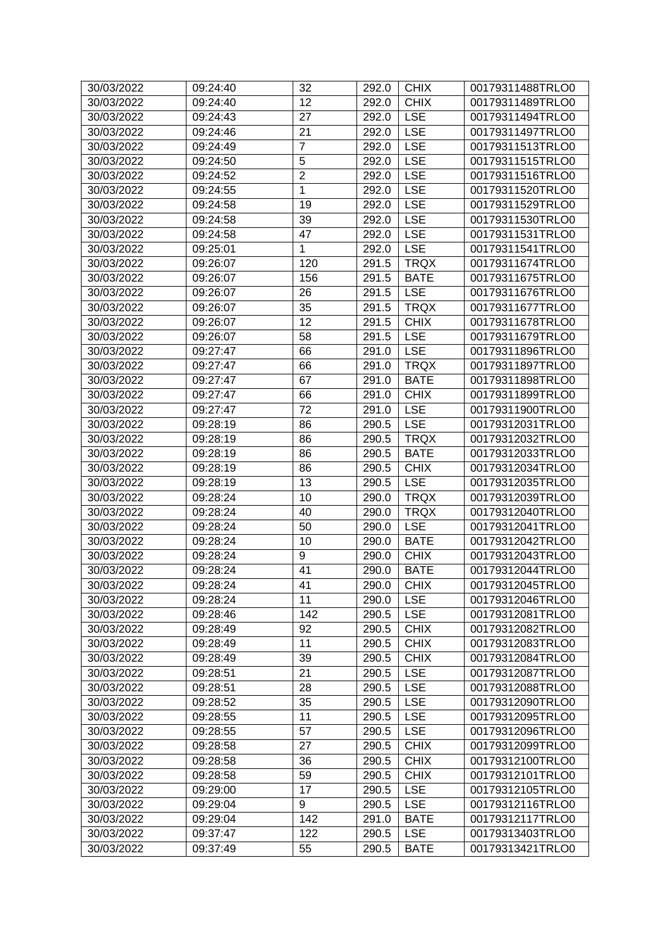| 12<br><b>CHIX</b><br>00179311489TRLO0<br>30/03/2022<br>09:24:40<br>292.0<br>09:24:43<br>27<br><b>LSE</b><br>00179311494TRLO0<br>30/03/2022<br>292.0<br>21<br><b>LSE</b><br>30/03/2022<br>00179311497TRLO0<br>09:24:46<br>292.0<br>$\overline{7}$<br><b>LSE</b><br>30/03/2022<br>09:24:49<br>292.0<br>00179311513TRLO0<br>5<br>30/03/2022<br>09:24:50<br><b>LSE</b><br>00179311515TRLO0<br>292.0<br>$\overline{2}$<br><b>LSE</b><br>30/03/2022<br>09:24:52<br>292.0<br>00179311516TRLO0<br>1<br><b>LSE</b><br>00179311520TRLO0<br>30/03/2022<br>09:24:55<br>292.0<br>30/03/2022<br>19<br><b>LSE</b><br>00179311529TRLO0<br>09:24:58<br>292.0<br>39<br><b>LSE</b><br>30/03/2022<br>292.0<br>00179311530TRLO0<br>09:24:58<br><b>LSE</b><br>47<br>30/03/2022<br>09:24:58<br>292.0<br>00179311531TRLO0<br><b>LSE</b><br>30/03/2022<br>09:25:01<br>1<br>292.0<br>00179311541TRLO0<br>120<br><b>TRQX</b><br>30/03/2022<br>09:26:07<br>291.5<br>00179311674TRLO0<br>156<br><b>BATE</b><br>30/03/2022<br>09:26:07<br>291.5<br>00179311675TRLO0<br>30/03/2022<br>26<br><b>LSE</b><br>00179311676TRLO0<br>09:26:07<br>291.5<br>35<br>30/03/2022<br>291.5<br><b>TRQX</b><br>00179311677TRLO0<br>09:26:07<br>12<br><b>CHIX</b><br>30/03/2022<br>00179311678TRLO0<br>09:26:07<br>291.5<br>58<br>30/03/2022<br>09:26:07<br>291.5<br><b>LSE</b><br>00179311679TRLO0<br>66<br><b>LSE</b><br>30/03/2022<br>09:27:47<br>291.0<br>00179311896TRLO0<br>66<br>30/03/2022<br><b>TRQX</b><br>00179311897TRLO0<br>09:27:47<br>291.0<br>30/03/2022<br>67<br><b>BATE</b><br>00179311898TRLO0<br>09:27:47<br>291.0<br>66<br><b>CHIX</b><br>30/03/2022<br>291.0<br>09:27:47<br>00179311899TRLO0<br>72<br><b>LSE</b><br>30/03/2022<br>09:27:47<br>291.0<br>00179311900TRLO0<br>86<br><b>LSE</b><br>30/03/2022<br>09:28:19<br>290.5<br>00179312031TRLO0<br>86<br><b>TRQX</b><br>30/03/2022<br>09:28:19<br>290.5<br>00179312032TRLO0<br>30/03/2022<br>09:28:19<br>86<br><b>BATE</b><br>00179312033TRLO0<br>290.5<br><b>CHIX</b><br>30/03/2022<br>09:28:19<br>86<br>00179312034TRLO0<br>290.5<br>13<br>30/03/2022<br><b>LSE</b><br>00179312035TRLO0<br>09:28:19<br>290.5<br>10<br><b>TRQX</b><br>30/03/2022<br>09:28:24<br>00179312039TRLO0<br>290.0<br>40<br><b>TRQX</b><br>00179312040TRLO0<br>30/03/2022<br>09:28:24<br>290.0<br>50<br><b>LSE</b><br>30/03/2022<br>09:28:24<br>290.0<br>00179312041TRLO0<br>00179312042TRLO0<br>30/03/2022<br>09:28:24<br>10<br>290.0<br><b>BATE</b><br>9<br><b>CHIX</b><br>30/03/2022<br>290.0<br>00179312043TRLO0<br>09:28:24<br>41<br>30/03/2022<br>09:28:24<br>290.0<br><b>BATE</b><br>00179312044TRLO0<br>41<br><b>CHIX</b><br>30/03/2022<br>09:28:24<br>290.0<br>00179312045TRLO0<br>11<br><b>LSE</b><br>00179312046TRLO0<br>30/03/2022<br>09:28:24<br>290.0<br>30/03/2022<br>142<br><b>LSE</b><br>00179312081TRLO0<br>09:28:46<br>290.5<br><b>CHIX</b><br>30/03/2022<br>09:28:49<br>92<br>00179312082TRLO0<br>290.5<br><b>CHIX</b><br>30/03/2022<br>11<br>00179312083TRLO0<br>09:28:49<br>290.5<br>39<br><b>CHIX</b><br>30/03/2022<br>09:28:49<br>290.5<br>00179312084TRLO0<br>21<br><b>LSE</b><br>00179312087TRLO0<br>30/03/2022<br>09:28:51<br>290.5<br>28<br><b>LSE</b><br>30/03/2022<br>290.5<br>00179312088TRLO0<br>09:28:51<br>35<br><b>LSE</b><br>30/03/2022<br>09:28:52<br>290.5<br>00179312090TRLO0<br>30/03/2022<br>11<br><b>LSE</b><br>00179312095TRLO0<br>09:28:55<br>290.5<br>57<br><b>LSE</b><br>30/03/2022<br>09:28:55<br>290.5<br>00179312096TRLO0<br><b>CHIX</b><br>27<br>30/03/2022<br>09:28:58<br>290.5<br>00179312099TRLO0<br>36<br><b>CHIX</b><br>00179312100TRLO0<br>30/03/2022<br>09:28:58<br>290.5<br>59<br><b>CHIX</b><br>30/03/2022<br>00179312101TRLO0<br>09:28:58<br>290.5<br><b>LSE</b><br>30/03/2022<br>17<br>00179312105TRLO0<br>09:29:00<br>290.5<br>30/03/2022<br>9<br><b>LSE</b><br>00179312116TRLO0<br>09:29:04<br>290.5<br>142<br><b>BATE</b><br>00179312117TRLO0<br>30/03/2022<br>09:29:04<br>291.0<br>122<br><b>LSE</b><br>30/03/2022<br>09:37:47<br>290.5<br>00179313403TRLO0<br>30/03/2022<br>55<br><b>BATE</b><br>00179313421TRLO0<br>09:37:49<br>290.5 | 30/03/2022 | 09:24:40 | 32 | 292.0 | <b>CHIX</b> | 00179311488TRLO0 |
|-----------------------------------------------------------------------------------------------------------------------------------------------------------------------------------------------------------------------------------------------------------------------------------------------------------------------------------------------------------------------------------------------------------------------------------------------------------------------------------------------------------------------------------------------------------------------------------------------------------------------------------------------------------------------------------------------------------------------------------------------------------------------------------------------------------------------------------------------------------------------------------------------------------------------------------------------------------------------------------------------------------------------------------------------------------------------------------------------------------------------------------------------------------------------------------------------------------------------------------------------------------------------------------------------------------------------------------------------------------------------------------------------------------------------------------------------------------------------------------------------------------------------------------------------------------------------------------------------------------------------------------------------------------------------------------------------------------------------------------------------------------------------------------------------------------------------------------------------------------------------------------------------------------------------------------------------------------------------------------------------------------------------------------------------------------------------------------------------------------------------------------------------------------------------------------------------------------------------------------------------------------------------------------------------------------------------------------------------------------------------------------------------------------------------------------------------------------------------------------------------------------------------------------------------------------------------------------------------------------------------------------------------------------------------------------------------------------------------------------------------------------------------------------------------------------------------------------------------------------------------------------------------------------------------------------------------------------------------------------------------------------------------------------------------------------------------------------------------------------------------------------------------------------------------------------------------------------------------------------------------------------------------------------------------------------------------------------------------------------------------------------------------------------------------------------------------------------------------------------------------------------------------------------------------------------------------------------------------------------------------------------------------------------------------------------------------------------------------------------------------------------------------------------------------------------------------------------------------------------------------------------------------------------------------------------------------------------------------------------------------------------------------------------------------------------------------------------------------------------|------------|----------|----|-------|-------------|------------------|
|                                                                                                                                                                                                                                                                                                                                                                                                                                                                                                                                                                                                                                                                                                                                                                                                                                                                                                                                                                                                                                                                                                                                                                                                                                                                                                                                                                                                                                                                                                                                                                                                                                                                                                                                                                                                                                                                                                                                                                                                                                                                                                                                                                                                                                                                                                                                                                                                                                                                                                                                                                                                                                                                                                                                                                                                                                                                                                                                                                                                                                                                                                                                                                                                                                                                                                                                                                                                                                                                                                                                                                                                                                                                                                                                                                                                                                                                                                                                                                                                                                                                                                           |            |          |    |       |             |                  |
|                                                                                                                                                                                                                                                                                                                                                                                                                                                                                                                                                                                                                                                                                                                                                                                                                                                                                                                                                                                                                                                                                                                                                                                                                                                                                                                                                                                                                                                                                                                                                                                                                                                                                                                                                                                                                                                                                                                                                                                                                                                                                                                                                                                                                                                                                                                                                                                                                                                                                                                                                                                                                                                                                                                                                                                                                                                                                                                                                                                                                                                                                                                                                                                                                                                                                                                                                                                                                                                                                                                                                                                                                                                                                                                                                                                                                                                                                                                                                                                                                                                                                                           |            |          |    |       |             |                  |
|                                                                                                                                                                                                                                                                                                                                                                                                                                                                                                                                                                                                                                                                                                                                                                                                                                                                                                                                                                                                                                                                                                                                                                                                                                                                                                                                                                                                                                                                                                                                                                                                                                                                                                                                                                                                                                                                                                                                                                                                                                                                                                                                                                                                                                                                                                                                                                                                                                                                                                                                                                                                                                                                                                                                                                                                                                                                                                                                                                                                                                                                                                                                                                                                                                                                                                                                                                                                                                                                                                                                                                                                                                                                                                                                                                                                                                                                                                                                                                                                                                                                                                           |            |          |    |       |             |                  |
|                                                                                                                                                                                                                                                                                                                                                                                                                                                                                                                                                                                                                                                                                                                                                                                                                                                                                                                                                                                                                                                                                                                                                                                                                                                                                                                                                                                                                                                                                                                                                                                                                                                                                                                                                                                                                                                                                                                                                                                                                                                                                                                                                                                                                                                                                                                                                                                                                                                                                                                                                                                                                                                                                                                                                                                                                                                                                                                                                                                                                                                                                                                                                                                                                                                                                                                                                                                                                                                                                                                                                                                                                                                                                                                                                                                                                                                                                                                                                                                                                                                                                                           |            |          |    |       |             |                  |
|                                                                                                                                                                                                                                                                                                                                                                                                                                                                                                                                                                                                                                                                                                                                                                                                                                                                                                                                                                                                                                                                                                                                                                                                                                                                                                                                                                                                                                                                                                                                                                                                                                                                                                                                                                                                                                                                                                                                                                                                                                                                                                                                                                                                                                                                                                                                                                                                                                                                                                                                                                                                                                                                                                                                                                                                                                                                                                                                                                                                                                                                                                                                                                                                                                                                                                                                                                                                                                                                                                                                                                                                                                                                                                                                                                                                                                                                                                                                                                                                                                                                                                           |            |          |    |       |             |                  |
|                                                                                                                                                                                                                                                                                                                                                                                                                                                                                                                                                                                                                                                                                                                                                                                                                                                                                                                                                                                                                                                                                                                                                                                                                                                                                                                                                                                                                                                                                                                                                                                                                                                                                                                                                                                                                                                                                                                                                                                                                                                                                                                                                                                                                                                                                                                                                                                                                                                                                                                                                                                                                                                                                                                                                                                                                                                                                                                                                                                                                                                                                                                                                                                                                                                                                                                                                                                                                                                                                                                                                                                                                                                                                                                                                                                                                                                                                                                                                                                                                                                                                                           |            |          |    |       |             |                  |
|                                                                                                                                                                                                                                                                                                                                                                                                                                                                                                                                                                                                                                                                                                                                                                                                                                                                                                                                                                                                                                                                                                                                                                                                                                                                                                                                                                                                                                                                                                                                                                                                                                                                                                                                                                                                                                                                                                                                                                                                                                                                                                                                                                                                                                                                                                                                                                                                                                                                                                                                                                                                                                                                                                                                                                                                                                                                                                                                                                                                                                                                                                                                                                                                                                                                                                                                                                                                                                                                                                                                                                                                                                                                                                                                                                                                                                                                                                                                                                                                                                                                                                           |            |          |    |       |             |                  |
|                                                                                                                                                                                                                                                                                                                                                                                                                                                                                                                                                                                                                                                                                                                                                                                                                                                                                                                                                                                                                                                                                                                                                                                                                                                                                                                                                                                                                                                                                                                                                                                                                                                                                                                                                                                                                                                                                                                                                                                                                                                                                                                                                                                                                                                                                                                                                                                                                                                                                                                                                                                                                                                                                                                                                                                                                                                                                                                                                                                                                                                                                                                                                                                                                                                                                                                                                                                                                                                                                                                                                                                                                                                                                                                                                                                                                                                                                                                                                                                                                                                                                                           |            |          |    |       |             |                  |
|                                                                                                                                                                                                                                                                                                                                                                                                                                                                                                                                                                                                                                                                                                                                                                                                                                                                                                                                                                                                                                                                                                                                                                                                                                                                                                                                                                                                                                                                                                                                                                                                                                                                                                                                                                                                                                                                                                                                                                                                                                                                                                                                                                                                                                                                                                                                                                                                                                                                                                                                                                                                                                                                                                                                                                                                                                                                                                                                                                                                                                                                                                                                                                                                                                                                                                                                                                                                                                                                                                                                                                                                                                                                                                                                                                                                                                                                                                                                                                                                                                                                                                           |            |          |    |       |             |                  |
|                                                                                                                                                                                                                                                                                                                                                                                                                                                                                                                                                                                                                                                                                                                                                                                                                                                                                                                                                                                                                                                                                                                                                                                                                                                                                                                                                                                                                                                                                                                                                                                                                                                                                                                                                                                                                                                                                                                                                                                                                                                                                                                                                                                                                                                                                                                                                                                                                                                                                                                                                                                                                                                                                                                                                                                                                                                                                                                                                                                                                                                                                                                                                                                                                                                                                                                                                                                                                                                                                                                                                                                                                                                                                                                                                                                                                                                                                                                                                                                                                                                                                                           |            |          |    |       |             |                  |
|                                                                                                                                                                                                                                                                                                                                                                                                                                                                                                                                                                                                                                                                                                                                                                                                                                                                                                                                                                                                                                                                                                                                                                                                                                                                                                                                                                                                                                                                                                                                                                                                                                                                                                                                                                                                                                                                                                                                                                                                                                                                                                                                                                                                                                                                                                                                                                                                                                                                                                                                                                                                                                                                                                                                                                                                                                                                                                                                                                                                                                                                                                                                                                                                                                                                                                                                                                                                                                                                                                                                                                                                                                                                                                                                                                                                                                                                                                                                                                                                                                                                                                           |            |          |    |       |             |                  |
|                                                                                                                                                                                                                                                                                                                                                                                                                                                                                                                                                                                                                                                                                                                                                                                                                                                                                                                                                                                                                                                                                                                                                                                                                                                                                                                                                                                                                                                                                                                                                                                                                                                                                                                                                                                                                                                                                                                                                                                                                                                                                                                                                                                                                                                                                                                                                                                                                                                                                                                                                                                                                                                                                                                                                                                                                                                                                                                                                                                                                                                                                                                                                                                                                                                                                                                                                                                                                                                                                                                                                                                                                                                                                                                                                                                                                                                                                                                                                                                                                                                                                                           |            |          |    |       |             |                  |
|                                                                                                                                                                                                                                                                                                                                                                                                                                                                                                                                                                                                                                                                                                                                                                                                                                                                                                                                                                                                                                                                                                                                                                                                                                                                                                                                                                                                                                                                                                                                                                                                                                                                                                                                                                                                                                                                                                                                                                                                                                                                                                                                                                                                                                                                                                                                                                                                                                                                                                                                                                                                                                                                                                                                                                                                                                                                                                                                                                                                                                                                                                                                                                                                                                                                                                                                                                                                                                                                                                                                                                                                                                                                                                                                                                                                                                                                                                                                                                                                                                                                                                           |            |          |    |       |             |                  |
|                                                                                                                                                                                                                                                                                                                                                                                                                                                                                                                                                                                                                                                                                                                                                                                                                                                                                                                                                                                                                                                                                                                                                                                                                                                                                                                                                                                                                                                                                                                                                                                                                                                                                                                                                                                                                                                                                                                                                                                                                                                                                                                                                                                                                                                                                                                                                                                                                                                                                                                                                                                                                                                                                                                                                                                                                                                                                                                                                                                                                                                                                                                                                                                                                                                                                                                                                                                                                                                                                                                                                                                                                                                                                                                                                                                                                                                                                                                                                                                                                                                                                                           |            |          |    |       |             |                  |
|                                                                                                                                                                                                                                                                                                                                                                                                                                                                                                                                                                                                                                                                                                                                                                                                                                                                                                                                                                                                                                                                                                                                                                                                                                                                                                                                                                                                                                                                                                                                                                                                                                                                                                                                                                                                                                                                                                                                                                                                                                                                                                                                                                                                                                                                                                                                                                                                                                                                                                                                                                                                                                                                                                                                                                                                                                                                                                                                                                                                                                                                                                                                                                                                                                                                                                                                                                                                                                                                                                                                                                                                                                                                                                                                                                                                                                                                                                                                                                                                                                                                                                           |            |          |    |       |             |                  |
|                                                                                                                                                                                                                                                                                                                                                                                                                                                                                                                                                                                                                                                                                                                                                                                                                                                                                                                                                                                                                                                                                                                                                                                                                                                                                                                                                                                                                                                                                                                                                                                                                                                                                                                                                                                                                                                                                                                                                                                                                                                                                                                                                                                                                                                                                                                                                                                                                                                                                                                                                                                                                                                                                                                                                                                                                                                                                                                                                                                                                                                                                                                                                                                                                                                                                                                                                                                                                                                                                                                                                                                                                                                                                                                                                                                                                                                                                                                                                                                                                                                                                                           |            |          |    |       |             |                  |
|                                                                                                                                                                                                                                                                                                                                                                                                                                                                                                                                                                                                                                                                                                                                                                                                                                                                                                                                                                                                                                                                                                                                                                                                                                                                                                                                                                                                                                                                                                                                                                                                                                                                                                                                                                                                                                                                                                                                                                                                                                                                                                                                                                                                                                                                                                                                                                                                                                                                                                                                                                                                                                                                                                                                                                                                                                                                                                                                                                                                                                                                                                                                                                                                                                                                                                                                                                                                                                                                                                                                                                                                                                                                                                                                                                                                                                                                                                                                                                                                                                                                                                           |            |          |    |       |             |                  |
|                                                                                                                                                                                                                                                                                                                                                                                                                                                                                                                                                                                                                                                                                                                                                                                                                                                                                                                                                                                                                                                                                                                                                                                                                                                                                                                                                                                                                                                                                                                                                                                                                                                                                                                                                                                                                                                                                                                                                                                                                                                                                                                                                                                                                                                                                                                                                                                                                                                                                                                                                                                                                                                                                                                                                                                                                                                                                                                                                                                                                                                                                                                                                                                                                                                                                                                                                                                                                                                                                                                                                                                                                                                                                                                                                                                                                                                                                                                                                                                                                                                                                                           |            |          |    |       |             |                  |
|                                                                                                                                                                                                                                                                                                                                                                                                                                                                                                                                                                                                                                                                                                                                                                                                                                                                                                                                                                                                                                                                                                                                                                                                                                                                                                                                                                                                                                                                                                                                                                                                                                                                                                                                                                                                                                                                                                                                                                                                                                                                                                                                                                                                                                                                                                                                                                                                                                                                                                                                                                                                                                                                                                                                                                                                                                                                                                                                                                                                                                                                                                                                                                                                                                                                                                                                                                                                                                                                                                                                                                                                                                                                                                                                                                                                                                                                                                                                                                                                                                                                                                           |            |          |    |       |             |                  |
|                                                                                                                                                                                                                                                                                                                                                                                                                                                                                                                                                                                                                                                                                                                                                                                                                                                                                                                                                                                                                                                                                                                                                                                                                                                                                                                                                                                                                                                                                                                                                                                                                                                                                                                                                                                                                                                                                                                                                                                                                                                                                                                                                                                                                                                                                                                                                                                                                                                                                                                                                                                                                                                                                                                                                                                                                                                                                                                                                                                                                                                                                                                                                                                                                                                                                                                                                                                                                                                                                                                                                                                                                                                                                                                                                                                                                                                                                                                                                                                                                                                                                                           |            |          |    |       |             |                  |
|                                                                                                                                                                                                                                                                                                                                                                                                                                                                                                                                                                                                                                                                                                                                                                                                                                                                                                                                                                                                                                                                                                                                                                                                                                                                                                                                                                                                                                                                                                                                                                                                                                                                                                                                                                                                                                                                                                                                                                                                                                                                                                                                                                                                                                                                                                                                                                                                                                                                                                                                                                                                                                                                                                                                                                                                                                                                                                                                                                                                                                                                                                                                                                                                                                                                                                                                                                                                                                                                                                                                                                                                                                                                                                                                                                                                                                                                                                                                                                                                                                                                                                           |            |          |    |       |             |                  |
|                                                                                                                                                                                                                                                                                                                                                                                                                                                                                                                                                                                                                                                                                                                                                                                                                                                                                                                                                                                                                                                                                                                                                                                                                                                                                                                                                                                                                                                                                                                                                                                                                                                                                                                                                                                                                                                                                                                                                                                                                                                                                                                                                                                                                                                                                                                                                                                                                                                                                                                                                                                                                                                                                                                                                                                                                                                                                                                                                                                                                                                                                                                                                                                                                                                                                                                                                                                                                                                                                                                                                                                                                                                                                                                                                                                                                                                                                                                                                                                                                                                                                                           |            |          |    |       |             |                  |
|                                                                                                                                                                                                                                                                                                                                                                                                                                                                                                                                                                                                                                                                                                                                                                                                                                                                                                                                                                                                                                                                                                                                                                                                                                                                                                                                                                                                                                                                                                                                                                                                                                                                                                                                                                                                                                                                                                                                                                                                                                                                                                                                                                                                                                                                                                                                                                                                                                                                                                                                                                                                                                                                                                                                                                                                                                                                                                                                                                                                                                                                                                                                                                                                                                                                                                                                                                                                                                                                                                                                                                                                                                                                                                                                                                                                                                                                                                                                                                                                                                                                                                           |            |          |    |       |             |                  |
|                                                                                                                                                                                                                                                                                                                                                                                                                                                                                                                                                                                                                                                                                                                                                                                                                                                                                                                                                                                                                                                                                                                                                                                                                                                                                                                                                                                                                                                                                                                                                                                                                                                                                                                                                                                                                                                                                                                                                                                                                                                                                                                                                                                                                                                                                                                                                                                                                                                                                                                                                                                                                                                                                                                                                                                                                                                                                                                                                                                                                                                                                                                                                                                                                                                                                                                                                                                                                                                                                                                                                                                                                                                                                                                                                                                                                                                                                                                                                                                                                                                                                                           |            |          |    |       |             |                  |
|                                                                                                                                                                                                                                                                                                                                                                                                                                                                                                                                                                                                                                                                                                                                                                                                                                                                                                                                                                                                                                                                                                                                                                                                                                                                                                                                                                                                                                                                                                                                                                                                                                                                                                                                                                                                                                                                                                                                                                                                                                                                                                                                                                                                                                                                                                                                                                                                                                                                                                                                                                                                                                                                                                                                                                                                                                                                                                                                                                                                                                                                                                                                                                                                                                                                                                                                                                                                                                                                                                                                                                                                                                                                                                                                                                                                                                                                                                                                                                                                                                                                                                           |            |          |    |       |             |                  |
|                                                                                                                                                                                                                                                                                                                                                                                                                                                                                                                                                                                                                                                                                                                                                                                                                                                                                                                                                                                                                                                                                                                                                                                                                                                                                                                                                                                                                                                                                                                                                                                                                                                                                                                                                                                                                                                                                                                                                                                                                                                                                                                                                                                                                                                                                                                                                                                                                                                                                                                                                                                                                                                                                                                                                                                                                                                                                                                                                                                                                                                                                                                                                                                                                                                                                                                                                                                                                                                                                                                                                                                                                                                                                                                                                                                                                                                                                                                                                                                                                                                                                                           |            |          |    |       |             |                  |
|                                                                                                                                                                                                                                                                                                                                                                                                                                                                                                                                                                                                                                                                                                                                                                                                                                                                                                                                                                                                                                                                                                                                                                                                                                                                                                                                                                                                                                                                                                                                                                                                                                                                                                                                                                                                                                                                                                                                                                                                                                                                                                                                                                                                                                                                                                                                                                                                                                                                                                                                                                                                                                                                                                                                                                                                                                                                                                                                                                                                                                                                                                                                                                                                                                                                                                                                                                                                                                                                                                                                                                                                                                                                                                                                                                                                                                                                                                                                                                                                                                                                                                           |            |          |    |       |             |                  |
|                                                                                                                                                                                                                                                                                                                                                                                                                                                                                                                                                                                                                                                                                                                                                                                                                                                                                                                                                                                                                                                                                                                                                                                                                                                                                                                                                                                                                                                                                                                                                                                                                                                                                                                                                                                                                                                                                                                                                                                                                                                                                                                                                                                                                                                                                                                                                                                                                                                                                                                                                                                                                                                                                                                                                                                                                                                                                                                                                                                                                                                                                                                                                                                                                                                                                                                                                                                                                                                                                                                                                                                                                                                                                                                                                                                                                                                                                                                                                                                                                                                                                                           |            |          |    |       |             |                  |
|                                                                                                                                                                                                                                                                                                                                                                                                                                                                                                                                                                                                                                                                                                                                                                                                                                                                                                                                                                                                                                                                                                                                                                                                                                                                                                                                                                                                                                                                                                                                                                                                                                                                                                                                                                                                                                                                                                                                                                                                                                                                                                                                                                                                                                                                                                                                                                                                                                                                                                                                                                                                                                                                                                                                                                                                                                                                                                                                                                                                                                                                                                                                                                                                                                                                                                                                                                                                                                                                                                                                                                                                                                                                                                                                                                                                                                                                                                                                                                                                                                                                                                           |            |          |    |       |             |                  |
|                                                                                                                                                                                                                                                                                                                                                                                                                                                                                                                                                                                                                                                                                                                                                                                                                                                                                                                                                                                                                                                                                                                                                                                                                                                                                                                                                                                                                                                                                                                                                                                                                                                                                                                                                                                                                                                                                                                                                                                                                                                                                                                                                                                                                                                                                                                                                                                                                                                                                                                                                                                                                                                                                                                                                                                                                                                                                                                                                                                                                                                                                                                                                                                                                                                                                                                                                                                                                                                                                                                                                                                                                                                                                                                                                                                                                                                                                                                                                                                                                                                                                                           |            |          |    |       |             |                  |
|                                                                                                                                                                                                                                                                                                                                                                                                                                                                                                                                                                                                                                                                                                                                                                                                                                                                                                                                                                                                                                                                                                                                                                                                                                                                                                                                                                                                                                                                                                                                                                                                                                                                                                                                                                                                                                                                                                                                                                                                                                                                                                                                                                                                                                                                                                                                                                                                                                                                                                                                                                                                                                                                                                                                                                                                                                                                                                                                                                                                                                                                                                                                                                                                                                                                                                                                                                                                                                                                                                                                                                                                                                                                                                                                                                                                                                                                                                                                                                                                                                                                                                           |            |          |    |       |             |                  |
|                                                                                                                                                                                                                                                                                                                                                                                                                                                                                                                                                                                                                                                                                                                                                                                                                                                                                                                                                                                                                                                                                                                                                                                                                                                                                                                                                                                                                                                                                                                                                                                                                                                                                                                                                                                                                                                                                                                                                                                                                                                                                                                                                                                                                                                                                                                                                                                                                                                                                                                                                                                                                                                                                                                                                                                                                                                                                                                                                                                                                                                                                                                                                                                                                                                                                                                                                                                                                                                                                                                                                                                                                                                                                                                                                                                                                                                                                                                                                                                                                                                                                                           |            |          |    |       |             |                  |
|                                                                                                                                                                                                                                                                                                                                                                                                                                                                                                                                                                                                                                                                                                                                                                                                                                                                                                                                                                                                                                                                                                                                                                                                                                                                                                                                                                                                                                                                                                                                                                                                                                                                                                                                                                                                                                                                                                                                                                                                                                                                                                                                                                                                                                                                                                                                                                                                                                                                                                                                                                                                                                                                                                                                                                                                                                                                                                                                                                                                                                                                                                                                                                                                                                                                                                                                                                                                                                                                                                                                                                                                                                                                                                                                                                                                                                                                                                                                                                                                                                                                                                           |            |          |    |       |             |                  |
|                                                                                                                                                                                                                                                                                                                                                                                                                                                                                                                                                                                                                                                                                                                                                                                                                                                                                                                                                                                                                                                                                                                                                                                                                                                                                                                                                                                                                                                                                                                                                                                                                                                                                                                                                                                                                                                                                                                                                                                                                                                                                                                                                                                                                                                                                                                                                                                                                                                                                                                                                                                                                                                                                                                                                                                                                                                                                                                                                                                                                                                                                                                                                                                                                                                                                                                                                                                                                                                                                                                                                                                                                                                                                                                                                                                                                                                                                                                                                                                                                                                                                                           |            |          |    |       |             |                  |
|                                                                                                                                                                                                                                                                                                                                                                                                                                                                                                                                                                                                                                                                                                                                                                                                                                                                                                                                                                                                                                                                                                                                                                                                                                                                                                                                                                                                                                                                                                                                                                                                                                                                                                                                                                                                                                                                                                                                                                                                                                                                                                                                                                                                                                                                                                                                                                                                                                                                                                                                                                                                                                                                                                                                                                                                                                                                                                                                                                                                                                                                                                                                                                                                                                                                                                                                                                                                                                                                                                                                                                                                                                                                                                                                                                                                                                                                                                                                                                                                                                                                                                           |            |          |    |       |             |                  |
|                                                                                                                                                                                                                                                                                                                                                                                                                                                                                                                                                                                                                                                                                                                                                                                                                                                                                                                                                                                                                                                                                                                                                                                                                                                                                                                                                                                                                                                                                                                                                                                                                                                                                                                                                                                                                                                                                                                                                                                                                                                                                                                                                                                                                                                                                                                                                                                                                                                                                                                                                                                                                                                                                                                                                                                                                                                                                                                                                                                                                                                                                                                                                                                                                                                                                                                                                                                                                                                                                                                                                                                                                                                                                                                                                                                                                                                                                                                                                                                                                                                                                                           |            |          |    |       |             |                  |
|                                                                                                                                                                                                                                                                                                                                                                                                                                                                                                                                                                                                                                                                                                                                                                                                                                                                                                                                                                                                                                                                                                                                                                                                                                                                                                                                                                                                                                                                                                                                                                                                                                                                                                                                                                                                                                                                                                                                                                                                                                                                                                                                                                                                                                                                                                                                                                                                                                                                                                                                                                                                                                                                                                                                                                                                                                                                                                                                                                                                                                                                                                                                                                                                                                                                                                                                                                                                                                                                                                                                                                                                                                                                                                                                                                                                                                                                                                                                                                                                                                                                                                           |            |          |    |       |             |                  |
|                                                                                                                                                                                                                                                                                                                                                                                                                                                                                                                                                                                                                                                                                                                                                                                                                                                                                                                                                                                                                                                                                                                                                                                                                                                                                                                                                                                                                                                                                                                                                                                                                                                                                                                                                                                                                                                                                                                                                                                                                                                                                                                                                                                                                                                                                                                                                                                                                                                                                                                                                                                                                                                                                                                                                                                                                                                                                                                                                                                                                                                                                                                                                                                                                                                                                                                                                                                                                                                                                                                                                                                                                                                                                                                                                                                                                                                                                                                                                                                                                                                                                                           |            |          |    |       |             |                  |
|                                                                                                                                                                                                                                                                                                                                                                                                                                                                                                                                                                                                                                                                                                                                                                                                                                                                                                                                                                                                                                                                                                                                                                                                                                                                                                                                                                                                                                                                                                                                                                                                                                                                                                                                                                                                                                                                                                                                                                                                                                                                                                                                                                                                                                                                                                                                                                                                                                                                                                                                                                                                                                                                                                                                                                                                                                                                                                                                                                                                                                                                                                                                                                                                                                                                                                                                                                                                                                                                                                                                                                                                                                                                                                                                                                                                                                                                                                                                                                                                                                                                                                           |            |          |    |       |             |                  |
|                                                                                                                                                                                                                                                                                                                                                                                                                                                                                                                                                                                                                                                                                                                                                                                                                                                                                                                                                                                                                                                                                                                                                                                                                                                                                                                                                                                                                                                                                                                                                                                                                                                                                                                                                                                                                                                                                                                                                                                                                                                                                                                                                                                                                                                                                                                                                                                                                                                                                                                                                                                                                                                                                                                                                                                                                                                                                                                                                                                                                                                                                                                                                                                                                                                                                                                                                                                                                                                                                                                                                                                                                                                                                                                                                                                                                                                                                                                                                                                                                                                                                                           |            |          |    |       |             |                  |
|                                                                                                                                                                                                                                                                                                                                                                                                                                                                                                                                                                                                                                                                                                                                                                                                                                                                                                                                                                                                                                                                                                                                                                                                                                                                                                                                                                                                                                                                                                                                                                                                                                                                                                                                                                                                                                                                                                                                                                                                                                                                                                                                                                                                                                                                                                                                                                                                                                                                                                                                                                                                                                                                                                                                                                                                                                                                                                                                                                                                                                                                                                                                                                                                                                                                                                                                                                                                                                                                                                                                                                                                                                                                                                                                                                                                                                                                                                                                                                                                                                                                                                           |            |          |    |       |             |                  |
|                                                                                                                                                                                                                                                                                                                                                                                                                                                                                                                                                                                                                                                                                                                                                                                                                                                                                                                                                                                                                                                                                                                                                                                                                                                                                                                                                                                                                                                                                                                                                                                                                                                                                                                                                                                                                                                                                                                                                                                                                                                                                                                                                                                                                                                                                                                                                                                                                                                                                                                                                                                                                                                                                                                                                                                                                                                                                                                                                                                                                                                                                                                                                                                                                                                                                                                                                                                                                                                                                                                                                                                                                                                                                                                                                                                                                                                                                                                                                                                                                                                                                                           |            |          |    |       |             |                  |
|                                                                                                                                                                                                                                                                                                                                                                                                                                                                                                                                                                                                                                                                                                                                                                                                                                                                                                                                                                                                                                                                                                                                                                                                                                                                                                                                                                                                                                                                                                                                                                                                                                                                                                                                                                                                                                                                                                                                                                                                                                                                                                                                                                                                                                                                                                                                                                                                                                                                                                                                                                                                                                                                                                                                                                                                                                                                                                                                                                                                                                                                                                                                                                                                                                                                                                                                                                                                                                                                                                                                                                                                                                                                                                                                                                                                                                                                                                                                                                                                                                                                                                           |            |          |    |       |             |                  |
|                                                                                                                                                                                                                                                                                                                                                                                                                                                                                                                                                                                                                                                                                                                                                                                                                                                                                                                                                                                                                                                                                                                                                                                                                                                                                                                                                                                                                                                                                                                                                                                                                                                                                                                                                                                                                                                                                                                                                                                                                                                                                                                                                                                                                                                                                                                                                                                                                                                                                                                                                                                                                                                                                                                                                                                                                                                                                                                                                                                                                                                                                                                                                                                                                                                                                                                                                                                                                                                                                                                                                                                                                                                                                                                                                                                                                                                                                                                                                                                                                                                                                                           |            |          |    |       |             |                  |
|                                                                                                                                                                                                                                                                                                                                                                                                                                                                                                                                                                                                                                                                                                                                                                                                                                                                                                                                                                                                                                                                                                                                                                                                                                                                                                                                                                                                                                                                                                                                                                                                                                                                                                                                                                                                                                                                                                                                                                                                                                                                                                                                                                                                                                                                                                                                                                                                                                                                                                                                                                                                                                                                                                                                                                                                                                                                                                                                                                                                                                                                                                                                                                                                                                                                                                                                                                                                                                                                                                                                                                                                                                                                                                                                                                                                                                                                                                                                                                                                                                                                                                           |            |          |    |       |             |                  |
|                                                                                                                                                                                                                                                                                                                                                                                                                                                                                                                                                                                                                                                                                                                                                                                                                                                                                                                                                                                                                                                                                                                                                                                                                                                                                                                                                                                                                                                                                                                                                                                                                                                                                                                                                                                                                                                                                                                                                                                                                                                                                                                                                                                                                                                                                                                                                                                                                                                                                                                                                                                                                                                                                                                                                                                                                                                                                                                                                                                                                                                                                                                                                                                                                                                                                                                                                                                                                                                                                                                                                                                                                                                                                                                                                                                                                                                                                                                                                                                                                                                                                                           |            |          |    |       |             |                  |
|                                                                                                                                                                                                                                                                                                                                                                                                                                                                                                                                                                                                                                                                                                                                                                                                                                                                                                                                                                                                                                                                                                                                                                                                                                                                                                                                                                                                                                                                                                                                                                                                                                                                                                                                                                                                                                                                                                                                                                                                                                                                                                                                                                                                                                                                                                                                                                                                                                                                                                                                                                                                                                                                                                                                                                                                                                                                                                                                                                                                                                                                                                                                                                                                                                                                                                                                                                                                                                                                                                                                                                                                                                                                                                                                                                                                                                                                                                                                                                                                                                                                                                           |            |          |    |       |             |                  |
|                                                                                                                                                                                                                                                                                                                                                                                                                                                                                                                                                                                                                                                                                                                                                                                                                                                                                                                                                                                                                                                                                                                                                                                                                                                                                                                                                                                                                                                                                                                                                                                                                                                                                                                                                                                                                                                                                                                                                                                                                                                                                                                                                                                                                                                                                                                                                                                                                                                                                                                                                                                                                                                                                                                                                                                                                                                                                                                                                                                                                                                                                                                                                                                                                                                                                                                                                                                                                                                                                                                                                                                                                                                                                                                                                                                                                                                                                                                                                                                                                                                                                                           |            |          |    |       |             |                  |
|                                                                                                                                                                                                                                                                                                                                                                                                                                                                                                                                                                                                                                                                                                                                                                                                                                                                                                                                                                                                                                                                                                                                                                                                                                                                                                                                                                                                                                                                                                                                                                                                                                                                                                                                                                                                                                                                                                                                                                                                                                                                                                                                                                                                                                                                                                                                                                                                                                                                                                                                                                                                                                                                                                                                                                                                                                                                                                                                                                                                                                                                                                                                                                                                                                                                                                                                                                                                                                                                                                                                                                                                                                                                                                                                                                                                                                                                                                                                                                                                                                                                                                           |            |          |    |       |             |                  |
|                                                                                                                                                                                                                                                                                                                                                                                                                                                                                                                                                                                                                                                                                                                                                                                                                                                                                                                                                                                                                                                                                                                                                                                                                                                                                                                                                                                                                                                                                                                                                                                                                                                                                                                                                                                                                                                                                                                                                                                                                                                                                                                                                                                                                                                                                                                                                                                                                                                                                                                                                                                                                                                                                                                                                                                                                                                                                                                                                                                                                                                                                                                                                                                                                                                                                                                                                                                                                                                                                                                                                                                                                                                                                                                                                                                                                                                                                                                                                                                                                                                                                                           |            |          |    |       |             |                  |
|                                                                                                                                                                                                                                                                                                                                                                                                                                                                                                                                                                                                                                                                                                                                                                                                                                                                                                                                                                                                                                                                                                                                                                                                                                                                                                                                                                                                                                                                                                                                                                                                                                                                                                                                                                                                                                                                                                                                                                                                                                                                                                                                                                                                                                                                                                                                                                                                                                                                                                                                                                                                                                                                                                                                                                                                                                                                                                                                                                                                                                                                                                                                                                                                                                                                                                                                                                                                                                                                                                                                                                                                                                                                                                                                                                                                                                                                                                                                                                                                                                                                                                           |            |          |    |       |             |                  |
|                                                                                                                                                                                                                                                                                                                                                                                                                                                                                                                                                                                                                                                                                                                                                                                                                                                                                                                                                                                                                                                                                                                                                                                                                                                                                                                                                                                                                                                                                                                                                                                                                                                                                                                                                                                                                                                                                                                                                                                                                                                                                                                                                                                                                                                                                                                                                                                                                                                                                                                                                                                                                                                                                                                                                                                                                                                                                                                                                                                                                                                                                                                                                                                                                                                                                                                                                                                                                                                                                                                                                                                                                                                                                                                                                                                                                                                                                                                                                                                                                                                                                                           |            |          |    |       |             |                  |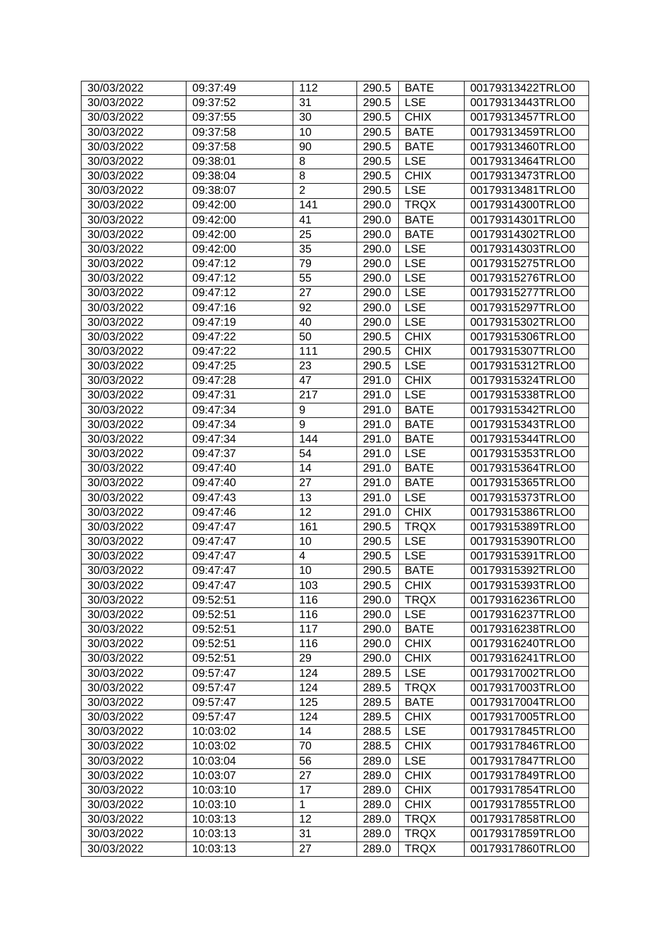| 30/03/2022               | 09:37:49 | 112                     | 290.5 | <b>BATE</b> | 00179313422TRLO0 |
|--------------------------|----------|-------------------------|-------|-------------|------------------|
| 30/03/2022               | 09:37:52 | 31                      | 290.5 | <b>LSE</b>  | 00179313443TRLO0 |
| 30/03/2022               | 09:37:55 | 30                      | 290.5 | <b>CHIX</b> | 00179313457TRLO0 |
| 30/03/2022               | 09:37:58 | 10                      | 290.5 | <b>BATE</b> | 00179313459TRLO0 |
| 30/03/2022               | 09:37:58 | 90                      | 290.5 | <b>BATE</b> | 00179313460TRLO0 |
| 30/03/2022               | 09:38:01 | 8                       | 290.5 | <b>LSE</b>  | 00179313464TRLO0 |
| 30/03/2022               | 09:38:04 | 8                       | 290.5 | <b>CHIX</b> | 00179313473TRLO0 |
| 30/03/2022               | 09:38:07 | $\overline{2}$          | 290.5 | <b>LSE</b>  | 00179313481TRLO0 |
| 30/03/2022               | 09:42:00 | 141                     | 290.0 | <b>TRQX</b> | 00179314300TRLO0 |
| 30/03/2022               | 09:42:00 | 41                      | 290.0 | <b>BATE</b> | 00179314301TRLO0 |
| 30/03/2022               | 09:42:00 | 25                      | 290.0 | <b>BATE</b> | 00179314302TRLO0 |
| 30/03/2022               | 09:42:00 | 35                      | 290.0 | <b>LSE</b>  | 00179314303TRLO0 |
| 30/03/2022               | 09:47:12 | 79                      | 290.0 | <b>LSE</b>  | 00179315275TRLO0 |
| 30/03/2022               | 09:47:12 | 55                      | 290.0 | <b>LSE</b>  | 00179315276TRLO0 |
| 30/03/2022               | 09:47:12 | 27                      | 290.0 | <b>LSE</b>  | 00179315277TRLO0 |
| 30/03/2022               | 09:47:16 | $\overline{92}$         | 290.0 | <b>LSE</b>  | 00179315297TRLO0 |
| 30/03/2022               | 09:47:19 | 40                      | 290.0 | <b>LSE</b>  | 00179315302TRLO0 |
| 30/03/2022               | 09:47:22 | 50                      | 290.5 | <b>CHIX</b> | 00179315306TRLO0 |
| 30/03/2022               | 09:47:22 | 111                     | 290.5 | <b>CHIX</b> | 00179315307TRLO0 |
| 30/03/2022               | 09:47:25 | 23                      | 290.5 | <b>LSE</b>  | 00179315312TRLO0 |
| 30/03/2022               | 09:47:28 | 47                      | 291.0 | <b>CHIX</b> | 00179315324TRLO0 |
| 30/03/2022               | 09:47:31 | 217                     | 291.0 | <b>LSE</b>  | 00179315338TRLO0 |
| 30/03/2022               | 09:47:34 | 9                       | 291.0 | <b>BATE</b> | 00179315342TRLO0 |
| 30/03/2022               | 09:47:34 | 9                       | 291.0 | <b>BATE</b> | 00179315343TRLO0 |
| 30/03/2022               | 09:47:34 | 144                     | 291.0 | <b>BATE</b> | 00179315344TRLO0 |
| 30/03/2022               | 09:47:37 | 54                      | 291.0 | <b>LSE</b>  | 00179315353TRLO0 |
| 30/03/2022               | 09:47:40 | 14                      | 291.0 | <b>BATE</b> | 00179315364TRLO0 |
| 30/03/2022               | 09:47:40 | 27                      | 291.0 | <b>BATE</b> | 00179315365TRLO0 |
| 30/03/2022               | 09:47:43 | 13                      | 291.0 | <b>LSE</b>  | 00179315373TRLO0 |
| 30/03/2022               | 09:47:46 | 12                      | 291.0 | <b>CHIX</b> | 00179315386TRLO0 |
| 30/03/2022               | 09:47:47 | 161                     | 290.5 | <b>TRQX</b> | 00179315389TRLO0 |
| 30/03/2022               | 09:47:47 | 10                      | 290.5 | <b>LSE</b>  | 00179315390TRLO0 |
| 30/03/2022               | 09:47:47 | $\overline{\mathbf{4}}$ | 290.5 | <b>LSE</b>  | 00179315391TRLO0 |
| 30/03/2022               | 09:47:47 | 10                      | 290.5 | <b>BATE</b> | 00179315392TRLO0 |
| 30/03/2022               | 09:47:47 | 103                     | 290.5 | <b>CHIX</b> | 00179315393TRLO0 |
| 30/03/2022               | 09:52:51 | 116                     | 290.0 | <b>TRQX</b> | 00179316236TRLO0 |
| 30/03/2022               | 09:52:51 | 116                     | 290.0 | <b>LSE</b>  | 00179316237TRLO0 |
| 30/03/2022               | 09:52:51 | 117                     | 290.0 | <b>BATE</b> | 00179316238TRLO0 |
| 30/03/2022               | 09:52:51 | 116                     | 290.0 | <b>CHIX</b> | 00179316240TRLO0 |
| 30/03/2022               | 09:52:51 | 29                      | 290.0 | <b>CHIX</b> | 00179316241TRLO0 |
| 30/03/2022               | 09:57:47 | 124                     | 289.5 | <b>LSE</b>  | 00179317002TRLO0 |
| 30/03/2022               | 09:57:47 | 124                     | 289.5 | <b>TRQX</b> | 00179317003TRLO0 |
|                          |          | 125                     |       | <b>BATE</b> |                  |
| 30/03/2022<br>30/03/2022 | 09:57:47 |                         | 289.5 | <b>CHIX</b> | 00179317004TRLO0 |
|                          | 09:57:47 | 124<br>14               | 289.5 | <b>LSE</b>  | 00179317005TRLO0 |
| 30/03/2022               | 10:03:02 |                         | 288.5 |             | 00179317845TRLO0 |
| 30/03/2022               | 10:03:02 | 70                      | 288.5 | <b>CHIX</b> | 00179317846TRLO0 |
| 30/03/2022               | 10:03:04 | 56                      | 289.0 | <b>LSE</b>  | 00179317847TRLO0 |
| 30/03/2022               | 10:03:07 | 27                      | 289.0 | <b>CHIX</b> | 00179317849TRLO0 |
| 30/03/2022               | 10:03:10 | 17                      | 289.0 | <b>CHIX</b> | 00179317854TRLO0 |
| 30/03/2022               | 10:03:10 | 1                       | 289.0 | <b>CHIX</b> | 00179317855TRLO0 |
| 30/03/2022               | 10:03:13 | 12                      | 289.0 | <b>TRQX</b> | 00179317858TRLO0 |
| 30/03/2022               | 10:03:13 | 31                      | 289.0 | <b>TRQX</b> | 00179317859TRLO0 |
| 30/03/2022               | 10:03:13 | 27                      | 289.0 | <b>TRQX</b> | 00179317860TRLO0 |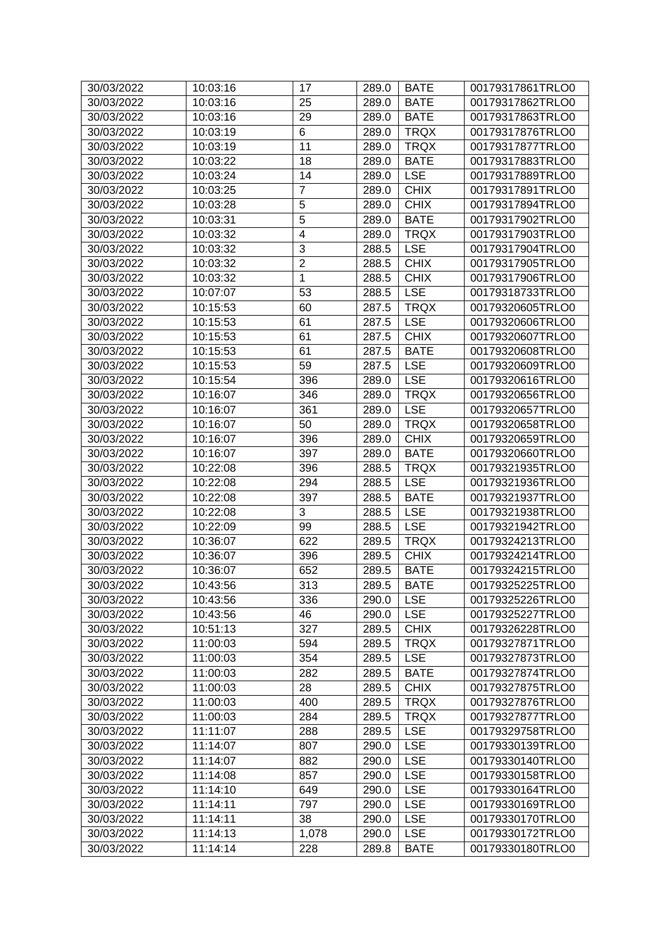| 30/03/2022 | 10:03:16 | 17             | 289.0 | <b>BATE</b> | 00179317861TRLO0 |
|------------|----------|----------------|-------|-------------|------------------|
| 30/03/2022 | 10:03:16 | 25             | 289.0 | <b>BATE</b> | 00179317862TRLO0 |
| 30/03/2022 | 10:03:16 | 29             | 289.0 | <b>BATE</b> | 00179317863TRLO0 |
| 30/03/2022 | 10:03:19 | 6              | 289.0 | <b>TRQX</b> | 00179317876TRLO0 |
| 30/03/2022 | 10:03:19 | 11             | 289.0 | <b>TRQX</b> | 00179317877TRLO0 |
| 30/03/2022 | 10:03:22 | 18             | 289.0 | <b>BATE</b> | 00179317883TRLO0 |
| 30/03/2022 | 10:03:24 | 14             | 289.0 | <b>LSE</b>  | 00179317889TRLO0 |
| 30/03/2022 | 10:03:25 | $\overline{7}$ | 289.0 | <b>CHIX</b> | 00179317891TRLO0 |
| 30/03/2022 | 10:03:28 | 5              | 289.0 | <b>CHIX</b> | 00179317894TRLO0 |
| 30/03/2022 | 10:03:31 | 5              | 289.0 | <b>BATE</b> | 00179317902TRLO0 |
| 30/03/2022 | 10:03:32 | $\overline{4}$ | 289.0 | <b>TRQX</b> | 00179317903TRLO0 |
| 30/03/2022 | 10:03:32 | 3              | 288.5 | <b>LSE</b>  | 00179317904TRLO0 |
| 30/03/2022 | 10:03:32 | $\overline{2}$ | 288.5 | <b>CHIX</b> | 00179317905TRLO0 |
| 30/03/2022 | 10:03:32 | 1              | 288.5 | <b>CHIX</b> | 00179317906TRLO0 |
| 30/03/2022 | 10:07:07 | 53             | 288.5 | <b>LSE</b>  | 00179318733TRLO0 |
| 30/03/2022 | 10:15:53 | 60             | 287.5 | <b>TRQX</b> | 00179320605TRLO0 |
| 30/03/2022 | 10:15:53 | 61             | 287.5 | <b>LSE</b>  | 00179320606TRLO0 |
| 30/03/2022 | 10:15:53 | 61             | 287.5 | <b>CHIX</b> | 00179320607TRLO0 |
| 30/03/2022 | 10:15:53 | 61             | 287.5 | <b>BATE</b> | 00179320608TRLO0 |
| 30/03/2022 | 10:15:53 | 59             | 287.5 | <b>LSE</b>  | 00179320609TRLO0 |
| 30/03/2022 | 10:15:54 | 396            | 289.0 | <b>LSE</b>  | 00179320616TRLO0 |
| 30/03/2022 | 10:16:07 | 346            | 289.0 | <b>TRQX</b> | 00179320656TRLO0 |
| 30/03/2022 | 10:16:07 | 361            | 289.0 | <b>LSE</b>  | 00179320657TRLO0 |
| 30/03/2022 | 10:16:07 | 50             | 289.0 | <b>TRQX</b> | 00179320658TRLO0 |
| 30/03/2022 | 10:16:07 | 396            | 289.0 | <b>CHIX</b> | 00179320659TRLO0 |
| 30/03/2022 | 10:16:07 | 397            | 289.0 | <b>BATE</b> | 00179320660TRLO0 |
| 30/03/2022 | 10:22:08 | 396            | 288.5 | <b>TRQX</b> | 00179321935TRLO0 |
| 30/03/2022 | 10:22:08 | 294            | 288.5 | <b>LSE</b>  | 00179321936TRLO0 |
| 30/03/2022 | 10:22:08 | 397            | 288.5 | <b>BATE</b> | 00179321937TRLO0 |
| 30/03/2022 | 10:22:08 | 3              | 288.5 | <b>LSE</b>  | 00179321938TRLO0 |
| 30/03/2022 | 10:22:09 | 99             | 288.5 | <b>LSE</b>  | 00179321942TRLO0 |
| 30/03/2022 | 10:36:07 | 622            | 289.5 | <b>TRQX</b> | 00179324213TRLO0 |
| 30/03/2022 | 10:36:07 | 396            | 289.5 | <b>CHIX</b> | 00179324214TRLO0 |
| 30/03/2022 | 10:36:07 | 652            | 289.5 | <b>BATE</b> | 00179324215TRLO0 |
| 30/03/2022 | 10:43:56 | 313            | 289.5 | <b>BATE</b> | 00179325225TRLO0 |
| 30/03/2022 | 10:43:56 | 336            | 290.0 | <b>LSE</b>  | 00179325226TRLO0 |
| 30/03/2022 | 10:43:56 | 46             | 290.0 | <b>LSE</b>  | 00179325227TRLO0 |
| 30/03/2022 | 10:51:13 | 327            | 289.5 | <b>CHIX</b> | 00179326228TRLO0 |
| 30/03/2022 | 11:00:03 | 594            | 289.5 | <b>TRQX</b> | 00179327871TRLO0 |
| 30/03/2022 | 11:00:03 | 354            | 289.5 | <b>LSE</b>  | 00179327873TRLO0 |
| 30/03/2022 | 11:00:03 | 282            | 289.5 | <b>BATE</b> | 00179327874TRLO0 |
| 30/03/2022 | 11:00:03 | 28             | 289.5 | <b>CHIX</b> | 00179327875TRLO0 |
| 30/03/2022 | 11:00:03 | 400            | 289.5 | <b>TRQX</b> | 00179327876TRLO0 |
| 30/03/2022 | 11:00:03 | 284            | 289.5 | <b>TRQX</b> | 00179327877TRLO0 |
| 30/03/2022 | 11:11:07 | 288            | 289.5 | <b>LSE</b>  | 00179329758TRLO0 |
| 30/03/2022 | 11:14:07 | 807            | 290.0 | <b>LSE</b>  | 00179330139TRLO0 |
| 30/03/2022 | 11:14:07 | 882            | 290.0 | <b>LSE</b>  | 00179330140TRLO0 |
| 30/03/2022 | 11:14:08 | 857            | 290.0 | <b>LSE</b>  | 00179330158TRLO0 |
| 30/03/2022 | 11:14:10 | 649            | 290.0 | <b>LSE</b>  | 00179330164TRLO0 |
| 30/03/2022 | 11:14:11 | 797            | 290.0 | <b>LSE</b>  | 00179330169TRLO0 |
| 30/03/2022 | 11:14:11 | 38             | 290.0 | <b>LSE</b>  | 00179330170TRLO0 |
| 30/03/2022 | 11:14:13 | 1,078          | 290.0 | <b>LSE</b>  | 00179330172TRLO0 |
| 30/03/2022 | 11:14:14 | 228            | 289.8 | <b>BATE</b> | 00179330180TRLO0 |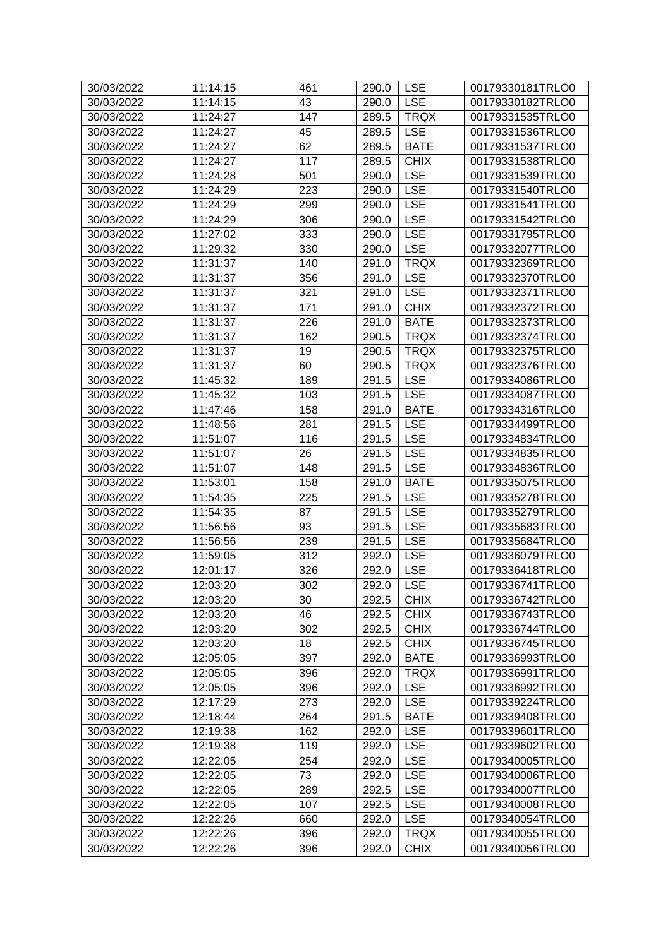| 30/03/2022 | 11:14:15 | 461 | 290.0     | <b>LSE</b>  | 00179330181TRLO0 |
|------------|----------|-----|-----------|-------------|------------------|
| 30/03/2022 | 11:14:15 | 43  | 290.0     | <b>LSE</b>  | 00179330182TRLO0 |
| 30/03/2022 | 11:24:27 | 147 | 289.5     | <b>TRQX</b> | 00179331535TRLO0 |
| 30/03/2022 | 11:24:27 | 45  | 289.5     | <b>LSE</b>  | 00179331536TRLO0 |
| 30/03/2022 | 11:24:27 | 62  | 289.5     | <b>BATE</b> | 00179331537TRLO0 |
| 30/03/2022 | 11:24:27 | 117 | 289.5     | <b>CHIX</b> | 00179331538TRLO0 |
| 30/03/2022 | 11:24:28 | 501 | 290.0     | <b>LSE</b>  | 00179331539TRLO0 |
| 30/03/2022 | 11:24:29 | 223 | 290.0     | <b>LSE</b>  | 00179331540TRLO0 |
| 30/03/2022 | 11:24:29 | 299 | 290.0     | <b>LSE</b>  | 00179331541TRLO0 |
| 30/03/2022 | 11:24:29 | 306 | 290.0     | <b>LSE</b>  | 00179331542TRLO0 |
| 30/03/2022 | 11:27:02 | 333 | 290.0     | <b>LSE</b>  | 00179331795TRLO0 |
| 30/03/2022 | 11:29:32 | 330 | 290.0     | <b>LSE</b>  | 00179332077TRLO0 |
| 30/03/2022 | 11:31:37 | 140 | 291.0     | <b>TRQX</b> | 00179332369TRLO0 |
| 30/03/2022 | 11:31:37 | 356 | 291.0     | <b>LSE</b>  | 00179332370TRLO0 |
| 30/03/2022 | 11:31:37 | 321 | 291.0     | <b>LSE</b>  | 00179332371TRLO0 |
| 30/03/2022 | 11:31:37 | 171 | 291.0     | <b>CHIX</b> | 00179332372TRLO0 |
| 30/03/2022 | 11:31:37 | 226 | 291.0     | <b>BATE</b> | 00179332373TRLO0 |
| 30/03/2022 | 11:31:37 | 162 | 290.5     | <b>TRQX</b> | 00179332374TRLO0 |
| 30/03/2022 | 11:31:37 | 19  | 290.5     | <b>TRQX</b> | 00179332375TRLO0 |
| 30/03/2022 | 11:31:37 | 60  | 290.5     | <b>TRQX</b> | 00179332376TRLO0 |
| 30/03/2022 | 11:45:32 | 189 | 291.5     | <b>LSE</b>  | 00179334086TRLO0 |
| 30/03/2022 | 11:45:32 | 103 | 291.5     | <b>LSE</b>  | 00179334087TRLO0 |
| 30/03/2022 | 11:47:46 | 158 | 291.0     | <b>BATE</b> | 00179334316TRLO0 |
| 30/03/2022 | 11:48:56 | 281 | 291.5     | <b>LSE</b>  | 00179334499TRLO0 |
| 30/03/2022 | 11:51:07 | 116 | 291.5     | <b>LSE</b>  | 00179334834TRLO0 |
| 30/03/2022 | 11:51:07 | 26  | 291.5     | <b>LSE</b>  | 00179334835TRLO0 |
| 30/03/2022 | 11:51:07 | 148 | 291.5     | <b>LSE</b>  | 00179334836TRLO0 |
| 30/03/2022 | 11:53:01 | 158 | 291.0     | <b>BATE</b> | 00179335075TRLO0 |
| 30/03/2022 | 11:54:35 | 225 | 291.5     | <b>LSE</b>  | 00179335278TRLO0 |
| 30/03/2022 | 11:54:35 | 87  | 291.5     | <b>LSE</b>  | 00179335279TRLO0 |
| 30/03/2022 | 11:56:56 | 93  | 291.5     | <b>LSE</b>  | 00179335683TRLO0 |
| 30/03/2022 | 11:56:56 | 239 | 291.5     | <b>LSE</b>  | 00179335684TRLO0 |
| 30/03/2022 | 11:59:05 | 312 | 292.0     | <b>LSE</b>  | 00179336079TRLO0 |
| 30/03/2022 | 12:01:17 | 326 | 292.0     | <b>LSE</b>  | 00179336418TRLO0 |
| 30/03/2022 | 12:03:20 | 302 | 292.0 LSE |             | 00179336741TRLO0 |
| 30/03/2022 | 12:03:20 | 30  | 292.5     | <b>CHIX</b> | 00179336742TRLO0 |
| 30/03/2022 | 12:03:20 | 46  | 292.5     | <b>CHIX</b> | 00179336743TRLO0 |
| 30/03/2022 | 12:03:20 | 302 | 292.5     | <b>CHIX</b> | 00179336744TRLO0 |
| 30/03/2022 | 12:03:20 | 18  | 292.5     | <b>CHIX</b> | 00179336745TRLO0 |
| 30/03/2022 | 12:05:05 | 397 | 292.0     | <b>BATE</b> | 00179336993TRLO0 |
| 30/03/2022 | 12:05:05 | 396 | 292.0     | <b>TRQX</b> | 00179336991TRLO0 |
| 30/03/2022 | 12:05:05 | 396 | 292.0     | <b>LSE</b>  | 00179336992TRLO0 |
| 30/03/2022 | 12:17:29 | 273 | 292.0     | <b>LSE</b>  | 00179339224TRLO0 |
| 30/03/2022 | 12:18:44 | 264 | 291.5     | <b>BATE</b> | 00179339408TRLO0 |
| 30/03/2022 | 12:19:38 | 162 | 292.0     | <b>LSE</b>  | 00179339601TRLO0 |
| 30/03/2022 | 12:19:38 | 119 | 292.0     | <b>LSE</b>  | 00179339602TRLO0 |
| 30/03/2022 | 12:22:05 | 254 | 292.0     | <b>LSE</b>  | 00179340005TRLO0 |
| 30/03/2022 | 12:22:05 | 73  | 292.0     | <b>LSE</b>  | 00179340006TRLO0 |
| 30/03/2022 | 12:22:05 | 289 | 292.5     | <b>LSE</b>  | 00179340007TRLO0 |
| 30/03/2022 | 12:22:05 | 107 | 292.5     | <b>LSE</b>  | 00179340008TRLO0 |
| 30/03/2022 | 12:22:26 | 660 | 292.0     | <b>LSE</b>  | 00179340054TRLO0 |
| 30/03/2022 | 12:22:26 | 396 | 292.0     | <b>TRQX</b> | 00179340055TRLO0 |
| 30/03/2022 | 12:22:26 | 396 | 292.0     | <b>CHIX</b> | 00179340056TRLO0 |
|            |          |     |           |             |                  |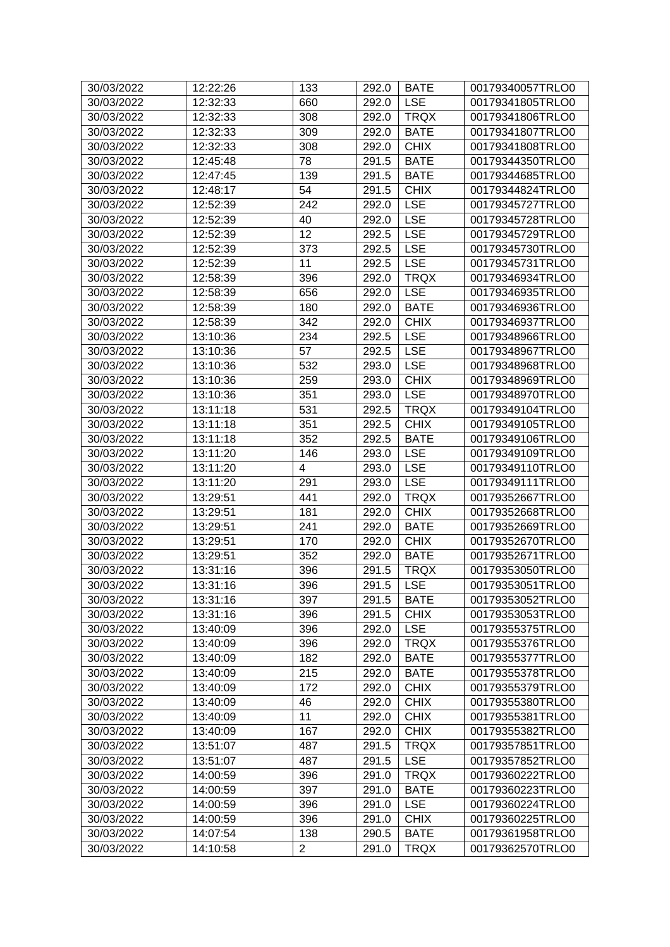| 30/03/2022 | 12:22:26 | 133            | 292.0       | <b>BATE</b> | 00179340057TRLO0 |
|------------|----------|----------------|-------------|-------------|------------------|
| 30/03/2022 | 12:32:33 | 660            | 292.0       | <b>LSE</b>  | 00179341805TRLO0 |
| 30/03/2022 | 12:32:33 | 308            | 292.0       | <b>TRQX</b> | 00179341806TRLO0 |
| 30/03/2022 | 12:32:33 | 309            | 292.0       | <b>BATE</b> | 00179341807TRLO0 |
| 30/03/2022 | 12:32:33 | 308            | 292.0       | <b>CHIX</b> | 00179341808TRLO0 |
| 30/03/2022 | 12:45:48 | 78             | 291.5       | <b>BATE</b> | 00179344350TRLO0 |
| 30/03/2022 | 12:47:45 | 139            | 291.5       | <b>BATE</b> | 00179344685TRLO0 |
| 30/03/2022 | 12:48:17 | 54             | 291.5       | <b>CHIX</b> | 00179344824TRLO0 |
| 30/03/2022 | 12:52:39 | 242            | 292.0       | <b>LSE</b>  | 00179345727TRLO0 |
| 30/03/2022 | 12:52:39 | 40             | 292.0       | <b>LSE</b>  | 00179345728TRLO0 |
| 30/03/2022 | 12:52:39 | 12             | 292.5       | <b>LSE</b>  | 00179345729TRLO0 |
| 30/03/2022 | 12:52:39 | 373            | 292.5       | <b>LSE</b>  | 00179345730TRLO0 |
| 30/03/2022 | 12:52:39 | 11             | 292.5       | <b>LSE</b>  | 00179345731TRLO0 |
| 30/03/2022 | 12:58:39 | 396            | 292.0       | <b>TRQX</b> | 00179346934TRLO0 |
| 30/03/2022 | 12:58:39 | 656            | 292.0       | <b>LSE</b>  | 00179346935TRLO0 |
| 30/03/2022 | 12:58:39 | 180            | 292.0       | <b>BATE</b> | 00179346936TRLO0 |
| 30/03/2022 | 12:58:39 | 342            | 292.0       | <b>CHIX</b> | 00179346937TRLO0 |
| 30/03/2022 | 13:10:36 | 234            | 292.5       | <b>LSE</b>  | 00179348966TRLO0 |
| 30/03/2022 | 13:10:36 | 57             | 292.5       | <b>LSE</b>  | 00179348967TRLO0 |
| 30/03/2022 | 13:10:36 | 532            | 293.0       | <b>LSE</b>  | 00179348968TRLO0 |
| 30/03/2022 | 13:10:36 | 259            | 293.0       | <b>CHIX</b> | 00179348969TRLO0 |
| 30/03/2022 | 13:10:36 | 351            | 293.0       | <b>LSE</b>  | 00179348970TRLO0 |
| 30/03/2022 | 13:11:18 | 531            | 292.5       | <b>TRQX</b> | 00179349104TRLO0 |
| 30/03/2022 | 13:11:18 | 351            | 292.5       | <b>CHIX</b> | 00179349105TRLO0 |
| 30/03/2022 | 13:11:18 | 352            | 292.5       | <b>BATE</b> | 00179349106TRLO0 |
| 30/03/2022 | 13:11:20 | 146            | 293.0       | <b>LSE</b>  | 00179349109TRLO0 |
| 30/03/2022 | 13:11:20 | 4              | 293.0       | <b>LSE</b>  | 00179349110TRLO0 |
| 30/03/2022 | 13:11:20 | 291            | 293.0       | <b>LSE</b>  | 00179349111TRLO0 |
| 30/03/2022 | 13:29:51 | 441            | 292.0       | <b>TRQX</b> | 00179352667TRLO0 |
| 30/03/2022 | 13:29:51 | 181            | 292.0       | <b>CHIX</b> | 00179352668TRLO0 |
| 30/03/2022 | 13:29:51 | 241            | 292.0       | <b>BATE</b> | 00179352669TRLO0 |
| 30/03/2022 | 13:29:51 | 170            | 292.0       | <b>CHIX</b> | 00179352670TRLO0 |
| 30/03/2022 | 13:29:51 | 352            | 292.0       | <b>BATE</b> | 00179352671TRLO0 |
| 30/03/2022 | 13:31:16 | 396            | 291.5       | <b>TRQX</b> | 00179353050TRLO0 |
| 30/03/2022 | 13:31:16 | 396            | 291.5   LSE |             | 00179353051TRLO0 |
| 30/03/2022 | 13:31:16 | 397            | 291.5       | <b>BATE</b> | 00179353052TRLO0 |
| 30/03/2022 | 13:31:16 | 396            | 291.5       | <b>CHIX</b> | 00179353053TRLO0 |
| 30/03/2022 | 13:40:09 | 396            | 292.0       | <b>LSE</b>  | 00179355375TRLO0 |
| 30/03/2022 | 13:40:09 | 396            | 292.0       | <b>TRQX</b> | 00179355376TRLO0 |
| 30/03/2022 | 13:40:09 | 182            | 292.0       | <b>BATE</b> | 00179355377TRLO0 |
| 30/03/2022 | 13:40:09 | 215            | 292.0       | <b>BATE</b> | 00179355378TRLO0 |
| 30/03/2022 | 13:40:09 | 172            | 292.0       | <b>CHIX</b> | 00179355379TRLO0 |
| 30/03/2022 | 13:40:09 | 46             | 292.0       | <b>CHIX</b> | 00179355380TRLO0 |
| 30/03/2022 | 13:40:09 | 11             | 292.0       | <b>CHIX</b> | 00179355381TRLO0 |
| 30/03/2022 | 13:40:09 | 167            | 292.0       | <b>CHIX</b> | 00179355382TRLO0 |
| 30/03/2022 | 13:51:07 | 487            | 291.5       | <b>TRQX</b> | 00179357851TRLO0 |
| 30/03/2022 | 13:51:07 | 487            | 291.5       | <b>LSE</b>  | 00179357852TRLO0 |
| 30/03/2022 | 14:00:59 | 396            | 291.0       | <b>TRQX</b> | 00179360222TRLO0 |
| 30/03/2022 | 14:00:59 | 397            | 291.0       | <b>BATE</b> | 00179360223TRLO0 |
| 30/03/2022 | 14:00:59 | 396            | 291.0       | <b>LSE</b>  | 00179360224TRLO0 |
| 30/03/2022 | 14:00:59 | 396            | 291.0       | <b>CHIX</b> | 00179360225TRLO0 |
| 30/03/2022 | 14:07:54 | 138            | 290.5       | <b>BATE</b> | 00179361958TRLO0 |
| 30/03/2022 | 14:10:58 | $\overline{2}$ | 291.0       | <b>TRQX</b> | 00179362570TRLO0 |
|            |          |                |             |             |                  |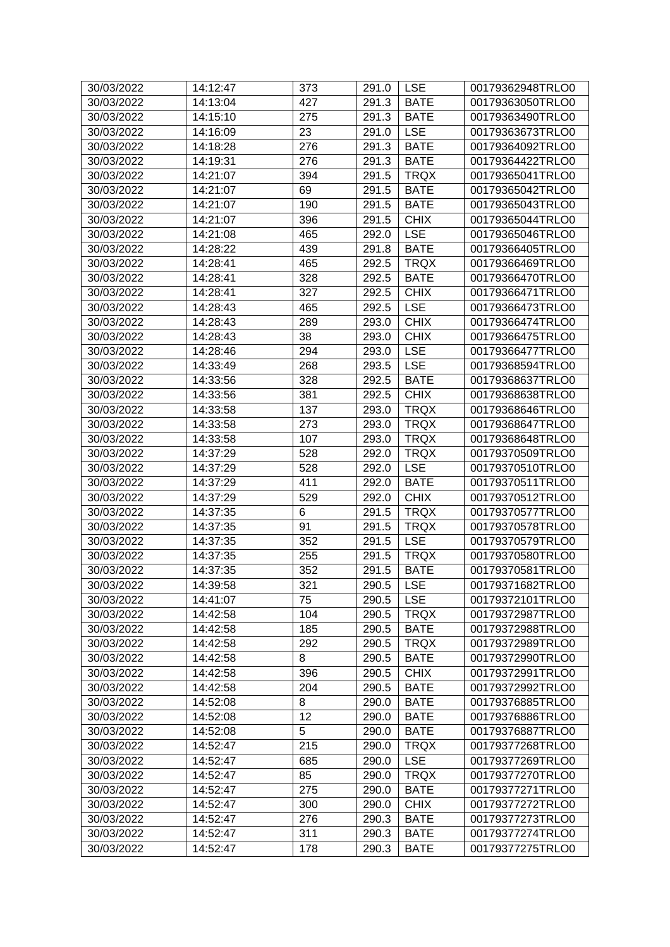| 30/03/2022 | 14:12:47 | 373   | 291.0       | <b>LSE</b>  | 00179362948TRLO0 |
|------------|----------|-------|-------------|-------------|------------------|
| 30/03/2022 | 14:13:04 | 427   | 291.3       | <b>BATE</b> | 00179363050TRLO0 |
| 30/03/2022 | 14:15:10 | 275   | 291.3       | <b>BATE</b> | 00179363490TRLO0 |
| 30/03/2022 | 14:16:09 | 23    | 291.0       | <b>LSE</b>  | 00179363673TRLO0 |
| 30/03/2022 | 14:18:28 | 276   | 291.3       | <b>BATE</b> | 00179364092TRLO0 |
| 30/03/2022 | 14:19:31 | 276   | 291.3       | <b>BATE</b> | 00179364422TRLO0 |
| 30/03/2022 | 14:21:07 | 394   | 291.5       | <b>TRQX</b> | 00179365041TRLO0 |
| 30/03/2022 | 14:21:07 | 69    | 291.5       | <b>BATE</b> | 00179365042TRLO0 |
| 30/03/2022 | 14:21:07 | 190   | 291.5       | <b>BATE</b> | 00179365043TRLO0 |
| 30/03/2022 | 14:21:07 | 396   | 291.5       | <b>CHIX</b> | 00179365044TRLO0 |
| 30/03/2022 | 14:21:08 | 465   | 292.0       | <b>LSE</b>  | 00179365046TRLO0 |
| 30/03/2022 | 14:28:22 | 439   | 291.8       | <b>BATE</b> | 00179366405TRLO0 |
| 30/03/2022 | 14:28:41 | 465   | 292.5       | <b>TRQX</b> | 00179366469TRLO0 |
| 30/03/2022 | 14:28:41 | 328   | 292.5       | <b>BATE</b> | 00179366470TRLO0 |
| 30/03/2022 | 14:28:41 | 327   | 292.5       | <b>CHIX</b> | 00179366471TRLO0 |
| 30/03/2022 | 14:28:43 | 465   | 292.5       | <b>LSE</b>  | 00179366473TRLO0 |
| 30/03/2022 | 14:28:43 | 289   | 293.0       | <b>CHIX</b> | 00179366474TRLO0 |
| 30/03/2022 | 14:28:43 | 38    | 293.0       | <b>CHIX</b> | 00179366475TRLO0 |
| 30/03/2022 | 14:28:46 | 294   | 293.0       | <b>LSE</b>  | 00179366477TRLO0 |
| 30/03/2022 | 14:33:49 | 268   | 293.5       | <b>LSE</b>  | 00179368594TRLO0 |
| 30/03/2022 | 14:33:56 | 328   | 292.5       | <b>BATE</b> | 00179368637TRLO0 |
| 30/03/2022 | 14:33:56 | 381   | 292.5       | <b>CHIX</b> | 00179368638TRLO0 |
| 30/03/2022 | 14:33:58 | 137   | 293.0       | <b>TRQX</b> | 00179368646TRLO0 |
| 30/03/2022 | 14:33:58 | 273   | 293.0       | <b>TRQX</b> | 00179368647TRLO0 |
| 30/03/2022 | 14:33:58 | 107   | 293.0       | <b>TRQX</b> | 00179368648TRLO0 |
| 30/03/2022 | 14:37:29 | 528   | 292.0       | <b>TRQX</b> | 00179370509TRLO0 |
| 30/03/2022 | 14:37:29 | 528   | 292.0       | <b>LSE</b>  | 00179370510TRLO0 |
| 30/03/2022 | 14:37:29 | 411   | 292.0       | <b>BATE</b> | 00179370511TRLO0 |
| 30/03/2022 | 14:37:29 | 529   | 292.0       | <b>CHIX</b> | 00179370512TRLO0 |
| 30/03/2022 | 14:37:35 | $\,6$ | 291.5       | <b>TRQX</b> | 00179370577TRLO0 |
| 30/03/2022 | 14:37:35 | 91    | 291.5       | <b>TRQX</b> | 00179370578TRLO0 |
| 30/03/2022 | 14:37:35 | 352   | 291.5       | <b>LSE</b>  | 00179370579TRLO0 |
| 30/03/2022 | 14:37:35 | 255   | 291.5       | <b>TRQX</b> | 00179370580TRLO0 |
| 30/03/2022 | 14:37:35 | 352   | 291.5       | <b>BATE</b> | 00179370581TRLO0 |
| 30/03/2022 | 14:39:58 | 321   | $290.5$ LSE |             | 00179371682TRLO0 |
| 30/03/2022 | 14:41:07 | 75    | 290.5       | <b>LSE</b>  | 00179372101TRLO0 |
| 30/03/2022 | 14:42:58 | 104   | 290.5       | <b>TRQX</b> | 00179372987TRLO0 |
| 30/03/2022 | 14:42:58 | 185   | 290.5       | <b>BATE</b> | 00179372988TRLO0 |
| 30/03/2022 | 14:42:58 | 292   | 290.5       | <b>TRQX</b> | 00179372989TRLO0 |
| 30/03/2022 | 14:42:58 | 8     | 290.5       | <b>BATE</b> | 00179372990TRLO0 |
| 30/03/2022 | 14:42:58 | 396   | 290.5       | <b>CHIX</b> | 00179372991TRLO0 |
| 30/03/2022 | 14:42:58 | 204   | 290.5       | <b>BATE</b> | 00179372992TRLO0 |
| 30/03/2022 | 14:52:08 | 8     | 290.0       | <b>BATE</b> | 00179376885TRLO0 |
| 30/03/2022 | 14:52:08 | 12    | 290.0       | <b>BATE</b> | 00179376886TRLO0 |
| 30/03/2022 | 14:52:08 | 5     | 290.0       | <b>BATE</b> | 00179376887TRLO0 |
|            | 14:52:47 | 215   | 290.0       | <b>TRQX</b> | 00179377268TRLO0 |
| 30/03/2022 |          |       |             |             |                  |
| 30/03/2022 | 14:52:47 | 685   | 290.0       | <b>LSE</b>  | 00179377269TRLO0 |
| 30/03/2022 | 14:52:47 | 85    | 290.0       | <b>TRQX</b> | 00179377270TRLO0 |
| 30/03/2022 | 14:52:47 | 275   | 290.0       | <b>BATE</b> | 00179377271TRLO0 |
| 30/03/2022 | 14:52:47 | 300   | 290.0       | <b>CHIX</b> | 00179377272TRLO0 |
| 30/03/2022 | 14:52:47 | 276   | 290.3       | <b>BATE</b> | 00179377273TRLO0 |
| 30/03/2022 | 14:52:47 | 311   | 290.3       | <b>BATE</b> | 00179377274TRLO0 |
| 30/03/2022 | 14:52:47 | 178   | 290.3       | <b>BATE</b> | 00179377275TRLO0 |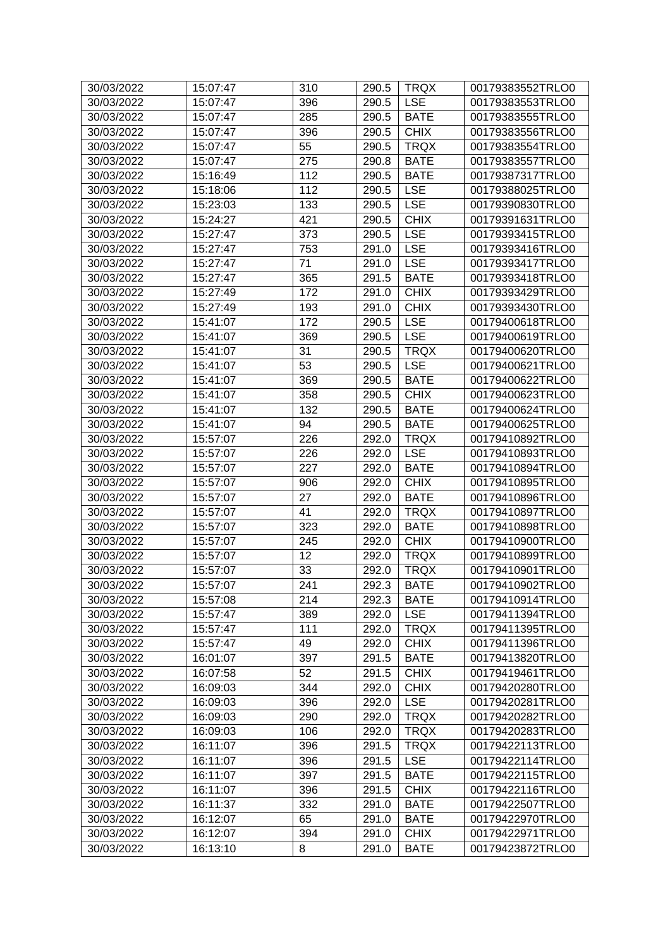| 30/03/2022 | 15:07:47 | 310 | 290.5 | <b>TRQX</b> | 00179383552TRLO0 |
|------------|----------|-----|-------|-------------|------------------|
| 30/03/2022 | 15:07:47 | 396 | 290.5 | <b>LSE</b>  | 00179383553TRLO0 |
| 30/03/2022 | 15:07:47 | 285 | 290.5 | <b>BATE</b> | 00179383555TRLO0 |
| 30/03/2022 | 15:07:47 | 396 | 290.5 | <b>CHIX</b> | 00179383556TRLO0 |
| 30/03/2022 | 15:07:47 | 55  | 290.5 | <b>TRQX</b> | 00179383554TRLO0 |
| 30/03/2022 | 15:07:47 | 275 | 290.8 | <b>BATE</b> | 00179383557TRLO0 |
| 30/03/2022 | 15:16:49 | 112 | 290.5 | <b>BATE</b> | 00179387317TRLO0 |
| 30/03/2022 | 15:18:06 | 112 | 290.5 | <b>LSE</b>  | 00179388025TRLO0 |
| 30/03/2022 | 15:23:03 | 133 | 290.5 | <b>LSE</b>  | 00179390830TRLO0 |
| 30/03/2022 | 15:24:27 | 421 | 290.5 | <b>CHIX</b> | 00179391631TRLO0 |
| 30/03/2022 | 15:27:47 | 373 | 290.5 | <b>LSE</b>  | 00179393415TRLO0 |
| 30/03/2022 | 15:27:47 | 753 | 291.0 | <b>LSE</b>  | 00179393416TRLO0 |
| 30/03/2022 | 15:27:47 | 71  | 291.0 | <b>LSE</b>  | 00179393417TRLO0 |
| 30/03/2022 | 15:27:47 | 365 | 291.5 | <b>BATE</b> | 00179393418TRLO0 |
| 30/03/2022 | 15:27:49 | 172 | 291.0 | <b>CHIX</b> | 00179393429TRLO0 |
| 30/03/2022 | 15:27:49 | 193 | 291.0 | <b>CHIX</b> | 00179393430TRLO0 |
| 30/03/2022 | 15:41:07 | 172 | 290.5 | <b>LSE</b>  | 00179400618TRLO0 |
| 30/03/2022 | 15:41:07 | 369 | 290.5 | <b>LSE</b>  | 00179400619TRLO0 |
| 30/03/2022 | 15:41:07 | 31  | 290.5 | <b>TRQX</b> | 00179400620TRLO0 |
| 30/03/2022 | 15:41:07 | 53  | 290.5 | <b>LSE</b>  | 00179400621TRLO0 |
| 30/03/2022 | 15:41:07 | 369 | 290.5 | <b>BATE</b> | 00179400622TRLO0 |
| 30/03/2022 | 15:41:07 | 358 | 290.5 | <b>CHIX</b> | 00179400623TRLO0 |
| 30/03/2022 | 15:41:07 | 132 | 290.5 | <b>BATE</b> | 00179400624TRLO0 |
| 30/03/2022 | 15:41:07 | 94  | 290.5 | <b>BATE</b> | 00179400625TRLO0 |
| 30/03/2022 | 15:57:07 | 226 | 292.0 | <b>TRQX</b> | 00179410892TRLO0 |
| 30/03/2022 | 15:57:07 | 226 | 292.0 | <b>LSE</b>  | 00179410893TRLO0 |
| 30/03/2022 | 15:57:07 | 227 | 292.0 | <b>BATE</b> | 00179410894TRLO0 |
| 30/03/2022 | 15:57:07 | 906 | 292.0 | <b>CHIX</b> | 00179410895TRLO0 |
| 30/03/2022 | 15:57:07 | 27  | 292.0 | <b>BATE</b> | 00179410896TRLO0 |
| 30/03/2022 | 15:57:07 | 41  | 292.0 | <b>TRQX</b> | 00179410897TRLO0 |
| 30/03/2022 | 15:57:07 | 323 | 292.0 | <b>BATE</b> | 00179410898TRLO0 |
| 30/03/2022 | 15:57:07 | 245 | 292.0 | <b>CHIX</b> | 00179410900TRLO0 |
| 30/03/2022 | 15:57:07 | 12  | 292.0 | <b>TRQX</b> | 00179410899TRLO0 |
| 30/03/2022 | 15:57:07 | 33  | 292.0 | <b>TRQX</b> | 00179410901TRLO0 |
| 30/03/2022 | 15:57:07 | 241 | 292.3 | <b>BATE</b> | 00179410902TRLO0 |
| 30/03/2022 | 15:57:08 | 214 | 292.3 | <b>BATE</b> | 00179410914TRLO0 |
| 30/03/2022 | 15:57:47 | 389 | 292.0 | <b>LSE</b>  | 00179411394TRLO0 |
| 30/03/2022 | 15:57:47 | 111 | 292.0 | <b>TRQX</b> | 00179411395TRLO0 |
| 30/03/2022 | 15:57:47 | 49  | 292.0 | <b>CHIX</b> | 00179411396TRLO0 |
| 30/03/2022 | 16:01:07 | 397 | 291.5 | <b>BATE</b> | 00179413820TRLO0 |
| 30/03/2022 | 16:07:58 | 52  | 291.5 | <b>CHIX</b> | 00179419461TRLO0 |
| 30/03/2022 | 16:09:03 | 344 | 292.0 | <b>CHIX</b> | 00179420280TRLO0 |
| 30/03/2022 | 16:09:03 | 396 | 292.0 | <b>LSE</b>  | 00179420281TRLO0 |
| 30/03/2022 | 16:09:03 | 290 | 292.0 | <b>TRQX</b> | 00179420282TRLO0 |
| 30/03/2022 | 16:09:03 | 106 | 292.0 | <b>TRQX</b> | 00179420283TRLO0 |
| 30/03/2022 | 16:11:07 | 396 | 291.5 | <b>TRQX</b> | 00179422113TRLO0 |
| 30/03/2022 | 16:11:07 | 396 | 291.5 | <b>LSE</b>  | 00179422114TRLO0 |
| 30/03/2022 | 16:11:07 | 397 | 291.5 | <b>BATE</b> | 00179422115TRLO0 |
| 30/03/2022 | 16:11:07 | 396 | 291.5 | <b>CHIX</b> | 00179422116TRLO0 |
| 30/03/2022 | 16:11:37 | 332 | 291.0 | <b>BATE</b> | 00179422507TRLO0 |
| 30/03/2022 | 16:12:07 | 65  | 291.0 | <b>BATE</b> | 00179422970TRLO0 |
| 30/03/2022 | 16:12:07 | 394 | 291.0 | <b>CHIX</b> | 00179422971TRLO0 |
| 30/03/2022 | 16:13:10 | 8   | 291.0 | <b>BATE</b> | 00179423872TRLO0 |